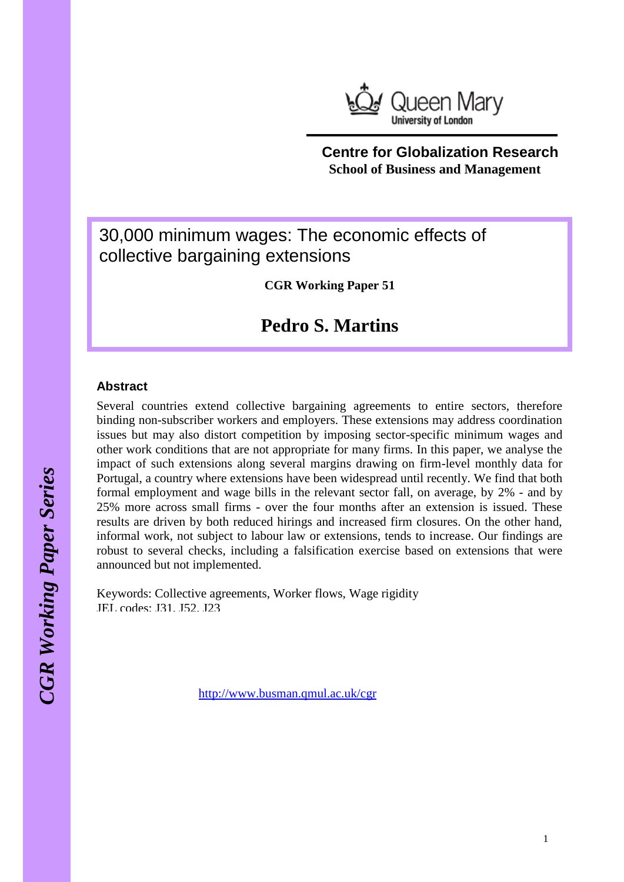

## **Centre for Globalization Research School of Business and Management**

# 30,000 minimum wages: The economic effects of collective bargaining extensions

**CGR Working Paper 51**

# **Pedro S. Martins**

### **Abstract**

Several countries extend collective bargaining agreements to entire sectors, therefore binding non-subscriber workers and employers. These extensions may address coordination issues but may also distort competition by imposing sector-specific minimum wages and other work conditions that are not appropriate for many firms. In this paper, we analyse the impact of such extensions along several margins drawing on firm-level monthly data for Portugal, a country where extensions have been widespread until recently. We find that both formal employment and wage bills in the relevant sector fall, on average, by 2% - and by 25% more across small firms - over the four months after an extension is issued. These results are driven by both reduced hirings and increased firm closures. On the other hand, informal work, not subject to labour law or extensions, tends to increase. Our findings are robust to several checks, including a falsification exercise based on extensions that were announced but not implemented.

Keywords: Collective agreements, Worker flows, Wage rigidity JEL codes: J31, J52, J23

<http://www.busman.qmul.ac.uk/cgr>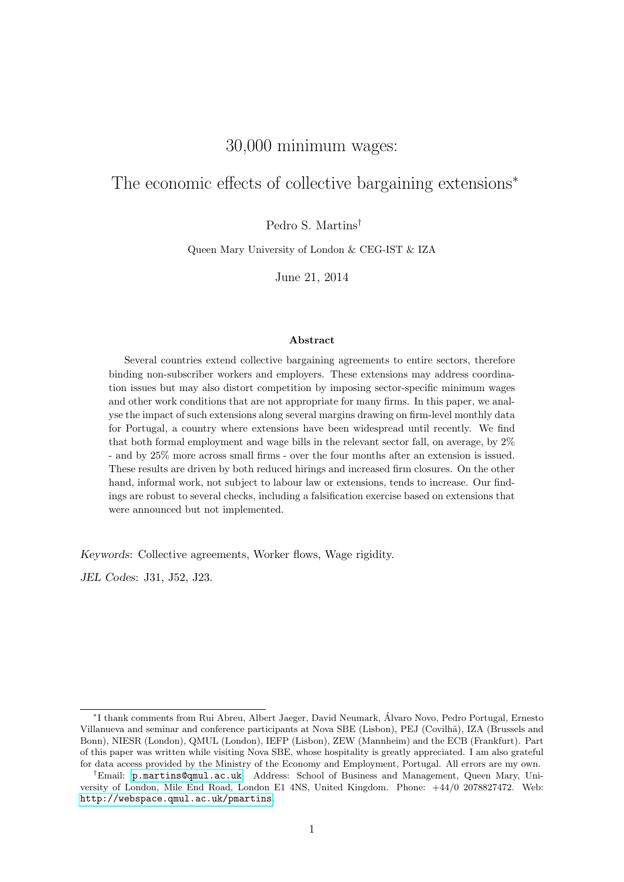## 30,000 minimum wages:

## The economic effects of collective bargaining extensions<sup>∗</sup>

Pedro S. Martins†

Queen Mary University of London & CEG-IST & IZA

June 21, 2014

#### Abstract

Several countries extend collective bargaining agreements to entire sectors, therefore binding non-subscriber workers and employers. These extensions may address coordination issues but may also distort competition by imposing sector-specific minimum wages and other work conditions that are not appropriate for many firms. In this paper, we analyse the impact of such extensions along several margins drawing on firm-level monthly data for Portugal, a country where extensions have been widespread until recently. We find that both formal employment and wage bills in the relevant sector fall, on average, by 2% - and by 25% more across small firms - over the four months after an extension is issued. These results are driven by both reduced hirings and increased firm closures. On the other hand, informal work, not subject to labour law or extensions, tends to increase. Our findings are robust to several checks, including a falsification exercise based on extensions that were announced but not implemented.

Keywords: Collective agreements, Worker flows, Wage rigidity.

JEL Codes: J31, J52, J23.

<sup>∗</sup> I thank comments from Rui Abreu, Albert Jaeger, David Neumark, Alvaro Novo, Pedro Portugal, Ernesto ´ Villanueva and seminar and conference participants at Nova SBE (Lisbon), PEJ (Covilh˜a), IZA (Brussels and Bonn), NIESR (London), QMUL (London), IEFP (Lisbon), ZEW (Mannheim) and the ECB (Frankfurt). Part of this paper was written while visiting Nova SBE, whose hospitality is greatly appreciated. I am also grateful for data access provided by the Ministry of the Economy and Employment, Portugal. All errors are my own.

<sup>†</sup>Email: [p.martins@qmul.ac.uk](mailto:p.martins@qmul.ac.uk). Address: School of Business and Management, Queen Mary, University of London, Mile End Road, London E1 4NS, United Kingdom. Phone: +44/0 2078827472. Web: <http://webspace.qmul.ac.uk/pmartins>.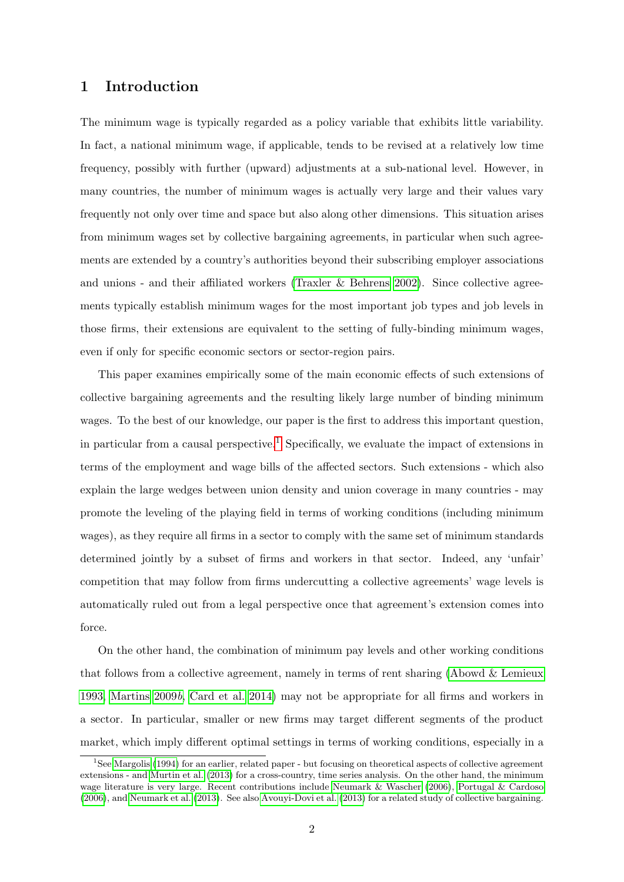## 1 Introduction

The minimum wage is typically regarded as a policy variable that exhibits little variability. In fact, a national minimum wage, if applicable, tends to be revised at a relatively low time frequency, possibly with further (upward) adjustments at a sub-national level. However, in many countries, the number of minimum wages is actually very large and their values vary frequently not only over time and space but also along other dimensions. This situation arises from minimum wages set by collective bargaining agreements, in particular when such agreements are extended by a country's authorities beyond their subscribing employer associations and unions - and their affiliated workers [\(Traxler & Behrens 2002\)](#page-26-0). Since collective agreements typically establish minimum wages for the most important job types and job levels in those firms, their extensions are equivalent to the setting of fully-binding minimum wages, even if only for specific economic sectors or sector-region pairs.

This paper examines empirically some of the main economic effects of such extensions of collective bargaining agreements and the resulting likely large number of binding minimum wages. To the best of our knowledge, our paper is the first to address this important question, in particular from a causal perspective.<sup>1</sup> Specifically, we evaluate the impact of extensions in terms of the employment and wage bills of the affected sectors. Such extensions - which also explain the large wedges between union density and union coverage in many countries - may promote the leveling of the playing field in terms of working conditions (including minimum wages), as they require all firms in a sector to comply with the same set of minimum standards determined jointly by a subset of firms and workers in that sector. Indeed, any 'unfair' competition that may follow from firms undercutting a collective agreements' wage levels is automatically ruled out from a legal perspective once that agreement's extension comes into force.

On the other hand, the combination of minimum pay levels and other working conditions that follows from a collective agreement, namely in terms of rent sharing [\(Abowd & Lemieux](#page-24-0) [1993,](#page-24-0) [Martins 2009](#page-25-0)b, [Card et al. 2014\)](#page-24-0) may not be appropriate for all firms and workers in a sector. In particular, smaller or new firms may target different segments of the product market, which imply different optimal settings in terms of working conditions, especially in a

<sup>&</sup>lt;sup>1</sup>See [Margolis](#page-25-0) [\(1994\)](#page-25-0) for an earlier, related paper - but focusing on theoretical aspects of collective agreement extensions - and [Murtin et al.](#page-26-0) [\(2013\)](#page-26-0) for a cross-country, time series analysis. On the other hand, the minimum wage literature is very large. Recent contributions include [Neumark & Wascher](#page-26-0) [\(2006\)](#page-26-0), [Portugal & Cardoso](#page-26-0) [\(2006\)](#page-26-0), and [Neumark et al.](#page-26-0) [\(2013\)](#page-26-0). See also [Avouyi-Dovi et al.](#page-24-0) [\(2013\)](#page-24-0) for a related study of collective bargaining.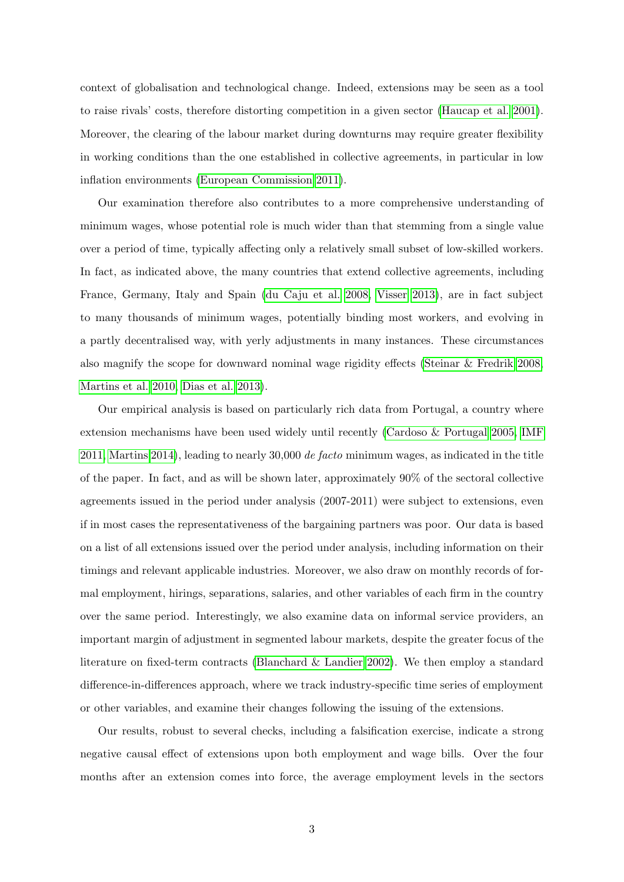context of globalisation and technological change. Indeed, extensions may be seen as a tool to raise rivals' costs, therefore distorting competition in a given sector [\(Haucap et al. 2001\)](#page-25-0). Moreover, the clearing of the labour market during downturns may require greater flexibility in working conditions than the one established in collective agreements, in particular in low inflation environments [\(European Commission 2011\)](#page-25-0).

Our examination therefore also contributes to a more comprehensive understanding of minimum wages, whose potential role is much wider than that stemming from a single value over a period of time, typically affecting only a relatively small subset of low-skilled workers. In fact, as indicated above, the many countries that extend collective agreements, including France, Germany, Italy and Spain [\(du Caju et al. 2008,](#page-25-0) [Visser 2013\)](#page-26-0), are in fact subject to many thousands of minimum wages, potentially binding most workers, and evolving in a partly decentralised way, with yerly adjustments in many instances. These circumstances also magnify the scope for downward nominal wage rigidity effects [\(Steinar & Fredrik 2008,](#page-26-0) [Martins et al. 2010,](#page-25-0) [Dias et al. 2013\)](#page-24-0).

Our empirical analysis is based on particularly rich data from Portugal, a country where extension mechanisms have been used widely until recently [\(Cardoso & Portugal 2005,](#page-24-0) [IMF](#page-25-0) [2011, Martins 2014\)](#page-25-0), leading to nearly  $30,000$  de facto minimum wages, as indicated in the title of the paper. In fact, and as will be shown later, approximately 90% of the sectoral collective agreements issued in the period under analysis (2007-2011) were subject to extensions, even if in most cases the representativeness of the bargaining partners was poor. Our data is based on a list of all extensions issued over the period under analysis, including information on their timings and relevant applicable industries. Moreover, we also draw on monthly records of formal employment, hirings, separations, salaries, and other variables of each firm in the country over the same period. Interestingly, we also examine data on informal service providers, an important margin of adjustment in segmented labour markets, despite the greater focus of the literature on fixed-term contracts [\(Blanchard & Landier 2002\)](#page-24-0). We then employ a standard difference-in-differences approach, where we track industry-specific time series of employment or other variables, and examine their changes following the issuing of the extensions.

Our results, robust to several checks, including a falsification exercise, indicate a strong negative causal effect of extensions upon both employment and wage bills. Over the four months after an extension comes into force, the average employment levels in the sectors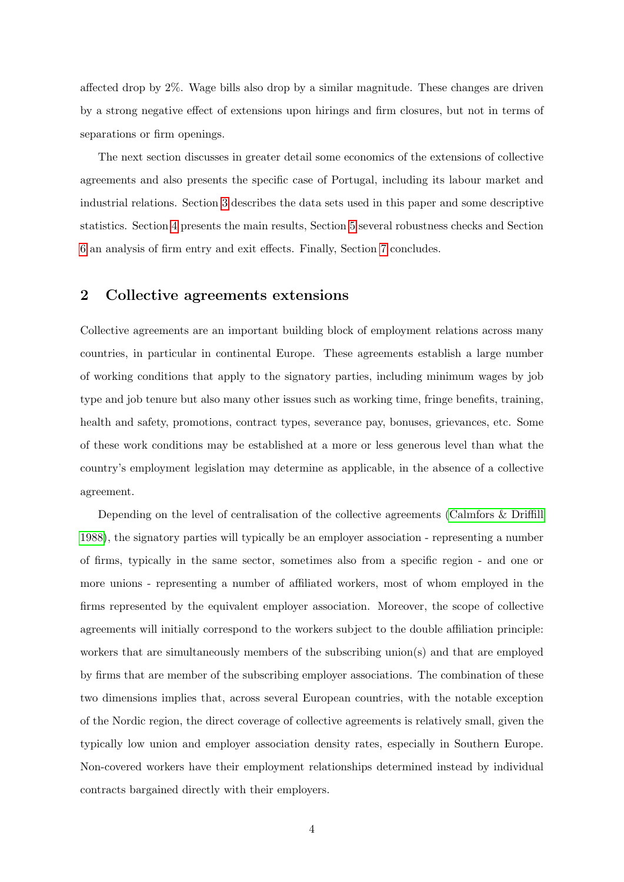affected drop by 2%. Wage bills also drop by a similar magnitude. These changes are driven by a strong negative effect of extensions upon hirings and firm closures, but not in terms of separations or firm openings.

The next section discusses in greater detail some economics of the extensions of collective agreements and also presents the specific case of Portugal, including its labour market and industrial relations. Section [3](#page-9-0) describes the data sets used in this paper and some descriptive statistics. Section [4](#page-12-0) presents the main results, Section [5](#page-15-0) several robustness checks and Section [6](#page-21-0) an analysis of firm entry and exit effects. Finally, Section [7](#page-23-0) concludes.

### 2 Collective agreements extensions

Collective agreements are an important building block of employment relations across many countries, in particular in continental Europe. These agreements establish a large number of working conditions that apply to the signatory parties, including minimum wages by job type and job tenure but also many other issues such as working time, fringe benefits, training, health and safety, promotions, contract types, severance pay, bonuses, grievances, etc. Some of these work conditions may be established at a more or less generous level than what the country's employment legislation may determine as applicable, in the absence of a collective agreement.

Depending on the level of centralisation of the collective agreements [\(Calmfors & Driffill](#page-24-0) [1988\)](#page-24-0), the signatory parties will typically be an employer association - representing a number of firms, typically in the same sector, sometimes also from a specific region - and one or more unions - representing a number of affiliated workers, most of whom employed in the firms represented by the equivalent employer association. Moreover, the scope of collective agreements will initially correspond to the workers subject to the double affiliation principle: workers that are simultaneously members of the subscribing union(s) and that are employed by firms that are member of the subscribing employer associations. The combination of these two dimensions implies that, across several European countries, with the notable exception of the Nordic region, the direct coverage of collective agreements is relatively small, given the typically low union and employer association density rates, especially in Southern Europe. Non-covered workers have their employment relationships determined instead by individual contracts bargained directly with their employers.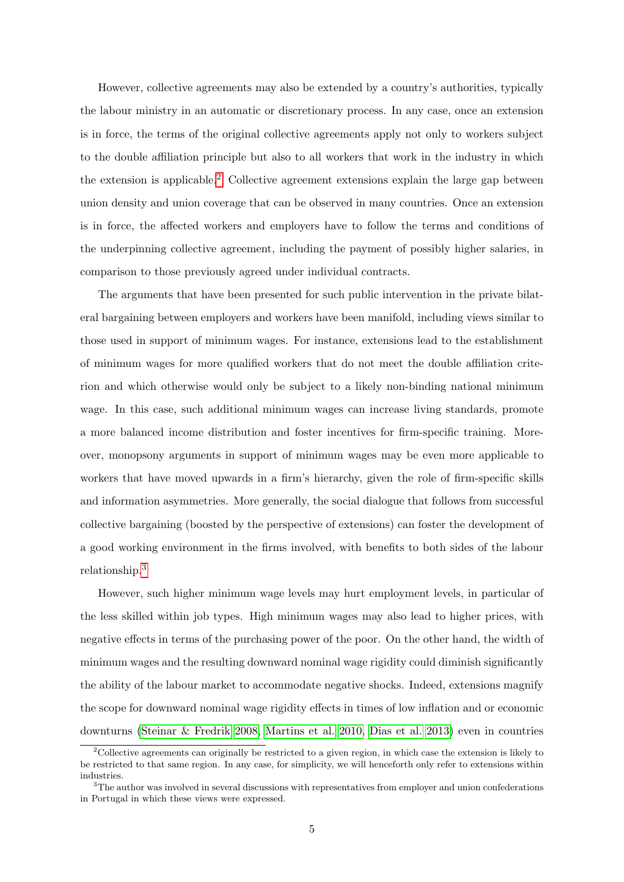However, collective agreements may also be extended by a country's authorities, typically the labour ministry in an automatic or discretionary process. In any case, once an extension is in force, the terms of the original collective agreements apply not only to workers subject to the double affiliation principle but also to all workers that work in the industry in which the extension is applicable.<sup>2</sup> Collective agreement extensions explain the large gap between union density and union coverage that can be observed in many countries. Once an extension is in force, the affected workers and employers have to follow the terms and conditions of the underpinning collective agreement, including the payment of possibly higher salaries, in comparison to those previously agreed under individual contracts.

The arguments that have been presented for such public intervention in the private bilateral bargaining between employers and workers have been manifold, including views similar to those used in support of minimum wages. For instance, extensions lead to the establishment of minimum wages for more qualified workers that do not meet the double affiliation criterion and which otherwise would only be subject to a likely non-binding national minimum wage. In this case, such additional minimum wages can increase living standards, promote a more balanced income distribution and foster incentives for firm-specific training. Moreover, monopsony arguments in support of minimum wages may be even more applicable to workers that have moved upwards in a firm's hierarchy, given the role of firm-specific skills and information asymmetries. More generally, the social dialogue that follows from successful collective bargaining (boosted by the perspective of extensions) can foster the development of a good working environment in the firms involved, with benefits to both sides of the labour relationship.<sup>3</sup>

However, such higher minimum wage levels may hurt employment levels, in particular of the less skilled within job types. High minimum wages may also lead to higher prices, with negative effects in terms of the purchasing power of the poor. On the other hand, the width of minimum wages and the resulting downward nominal wage rigidity could diminish significantly the ability of the labour market to accommodate negative shocks. Indeed, extensions magnify the scope for downward nominal wage rigidity effects in times of low inflation and or economic downturns [\(Steinar & Fredrik 2008,](#page-26-0) [Martins et al. 2010,](#page-25-0) [Dias et al. 2013\)](#page-24-0) even in countries

<sup>&</sup>lt;sup>2</sup>Collective agreements can originally be restricted to a given region, in which case the extension is likely to be restricted to that same region. In any case, for simplicity, we will henceforth only refer to extensions within industries.

<sup>&</sup>lt;sup>3</sup>The author was involved in several discussions with representatives from employer and union confederations in Portugal in which these views were expressed.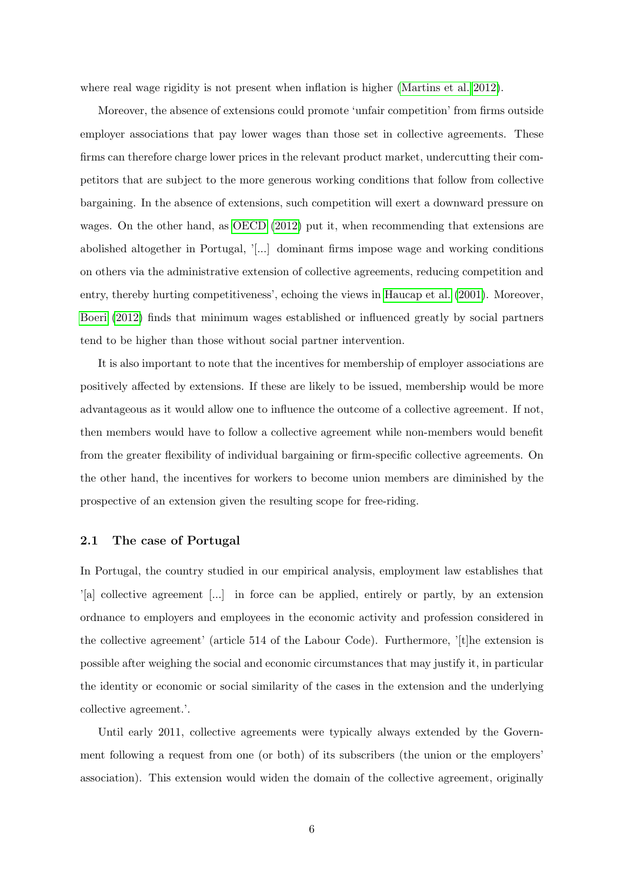where real wage rigidity is not present when inflation is higher [\(Martins et al. 2012\)](#page-25-0).

Moreover, the absence of extensions could promote 'unfair competition' from firms outside employer associations that pay lower wages than those set in collective agreements. These firms can therefore charge lower prices in the relevant product market, undercutting their competitors that are subject to the more generous working conditions that follow from collective bargaining. In the absence of extensions, such competition will exert a downward pressure on wages. On the other hand, as [OECD](#page-26-0) [\(2012\)](#page-26-0) put it, when recommending that extensions are abolished altogether in Portugal, '[...] dominant firms impose wage and working conditions on others via the administrative extension of collective agreements, reducing competition and entry, thereby hurting competitiveness', echoing the views in [Haucap et al.](#page-25-0) [\(2001\)](#page-25-0). Moreover, [Boeri](#page-24-0) [\(2012\)](#page-24-0) finds that minimum wages established or influenced greatly by social partners tend to be higher than those without social partner intervention.

It is also important to note that the incentives for membership of employer associations are positively affected by extensions. If these are likely to be issued, membership would be more advantageous as it would allow one to influence the outcome of a collective agreement. If not, then members would have to follow a collective agreement while non-members would benefit from the greater flexibility of individual bargaining or firm-specific collective agreements. On the other hand, the incentives for workers to become union members are diminished by the prospective of an extension given the resulting scope for free-riding.

#### 2.1 The case of Portugal

In Portugal, the country studied in our empirical analysis, employment law establishes that '[a] collective agreement [...] in force can be applied, entirely or partly, by an extension ordnance to employers and employees in the economic activity and profession considered in the collective agreement' (article 514 of the Labour Code). Furthermore, '[t]he extension is possible after weighing the social and economic circumstances that may justify it, in particular the identity or economic or social similarity of the cases in the extension and the underlying collective agreement.'.

Until early 2011, collective agreements were typically always extended by the Government following a request from one (or both) of its subscribers (the union or the employers' association). This extension would widen the domain of the collective agreement, originally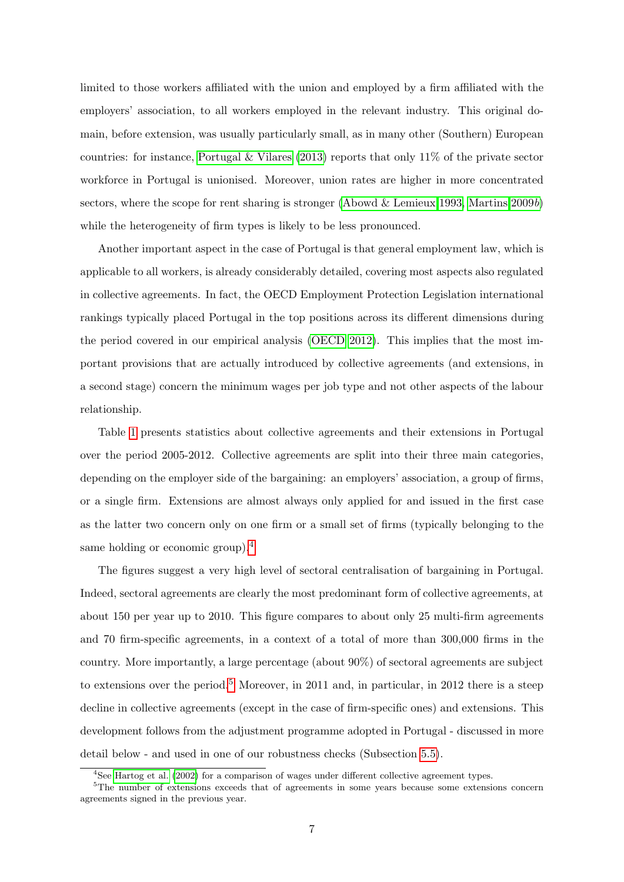limited to those workers affiliated with the union and employed by a firm affiliated with the employers' association, to all workers employed in the relevant industry. This original domain, before extension, was usually particularly small, as in many other (Southern) European countries: for instance, [Portugal & Vilares](#page-26-0) [\(2013\)](#page-26-0) reports that only 11% of the private sector workforce in Portugal is unionised. Moreover, union rates are higher in more concentrated sectors, where the scope for rent sharing is stronger [\(Abowd & Lemieux 1993,](#page-24-0) [Martins 2009](#page-25-0)b) while the heterogeneity of firm types is likely to be less pronounced.

Another important aspect in the case of Portugal is that general employment law, which is applicable to all workers, is already considerably detailed, covering most aspects also regulated in collective agreements. In fact, the OECD Employment Protection Legislation international rankings typically placed Portugal in the top positions across its different dimensions during the period covered in our empirical analysis [\(OECD 2012\)](#page-26-0). This implies that the most important provisions that are actually introduced by collective agreements (and extensions, in a second stage) concern the minimum wages per job type and not other aspects of the labour relationship.

Table [1](#page-27-0) presents statistics about collective agreements and their extensions in Portugal over the period 2005-2012. Collective agreements are split into their three main categories, depending on the employer side of the bargaining: an employers' association, a group of firms, or a single firm. Extensions are almost always only applied for and issued in the first case as the latter two concern only on one firm or a small set of firms (typically belonging to the same holding or economic group).<sup>4</sup>

The figures suggest a very high level of sectoral centralisation of bargaining in Portugal. Indeed, sectoral agreements are clearly the most predominant form of collective agreements, at about 150 per year up to 2010. This figure compares to about only 25 multi-firm agreements and 70 firm-specific agreements, in a context of a total of more than 300,000 firms in the country. More importantly, a large percentage (about 90%) of sectoral agreements are subject to extensions over the period.<sup>5</sup> Moreover, in 2011 and, in particular, in 2012 there is a steep decline in collective agreements (except in the case of firm-specific ones) and extensions. This development follows from the adjustment programme adopted in Portugal - discussed in more detail below - and used in one of our robustness checks (Subsection [5.5\)](#page-19-0).

 $4$ See [Hartog et al.](#page-25-0) [\(2002\)](#page-25-0) for a comparison of wages under different collective agreement types.

<sup>&</sup>lt;sup>5</sup>The number of extensions exceeds that of agreements in some years because some extensions concern agreements signed in the previous year.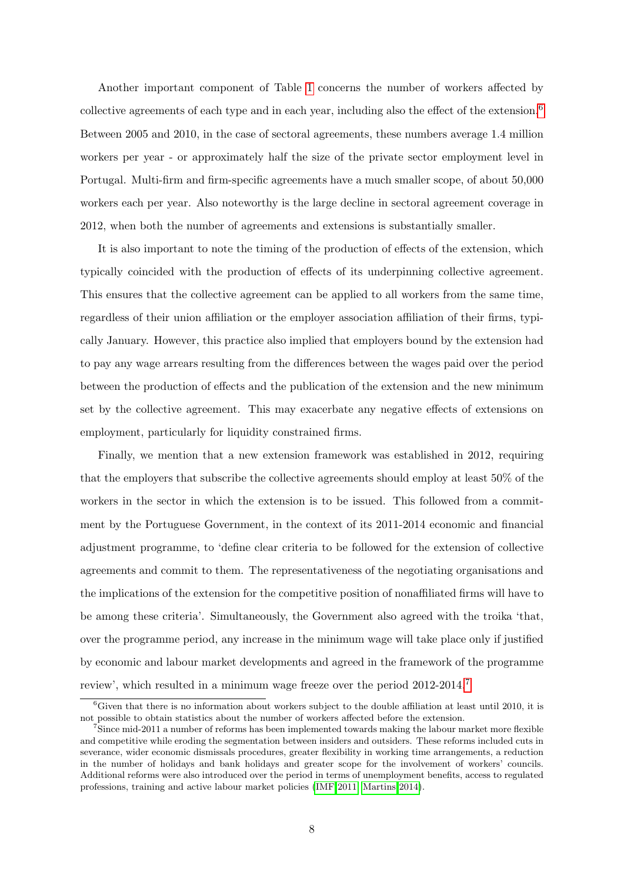Another important component of Table [1](#page-27-0) concerns the number of workers affected by collective agreements of each type and in each year, including also the effect of the extension.<sup>6</sup> Between 2005 and 2010, in the case of sectoral agreements, these numbers average 1.4 million workers per year - or approximately half the size of the private sector employment level in Portugal. Multi-firm and firm-specific agreements have a much smaller scope, of about 50,000 workers each per year. Also noteworthy is the large decline in sectoral agreement coverage in 2012, when both the number of agreements and extensions is substantially smaller.

It is also important to note the timing of the production of effects of the extension, which typically coincided with the production of effects of its underpinning collective agreement. This ensures that the collective agreement can be applied to all workers from the same time, regardless of their union affiliation or the employer association affiliation of their firms, typically January. However, this practice also implied that employers bound by the extension had to pay any wage arrears resulting from the differences between the wages paid over the period between the production of effects and the publication of the extension and the new minimum set by the collective agreement. This may exacerbate any negative effects of extensions on employment, particularly for liquidity constrained firms.

Finally, we mention that a new extension framework was established in 2012, requiring that the employers that subscribe the collective agreements should employ at least 50% of the workers in the sector in which the extension is to be issued. This followed from a commitment by the Portuguese Government, in the context of its 2011-2014 economic and financial adjustment programme, to 'define clear criteria to be followed for the extension of collective agreements and commit to them. The representativeness of the negotiating organisations and the implications of the extension for the competitive position of nonaffiliated firms will have to be among these criteria'. Simultaneously, the Government also agreed with the troika 'that, over the programme period, any increase in the minimum wage will take place only if justified by economic and labour market developments and agreed in the framework of the programme review', which resulted in a minimum wage freeze over the period 2012-2014.<sup>7</sup>

 ${}^{6}$ Given that there is no information about workers subject to the double affiliation at least until 2010, it is not possible to obtain statistics about the number of workers affected before the extension.

<sup>7</sup>Since mid-2011 a number of reforms has been implemented towards making the labour market more flexible and competitive while eroding the segmentation between insiders and outsiders. These reforms included cuts in severance, wider economic dismissals procedures, greater flexibility in working time arrangements, a reduction in the number of holidays and bank holidays and greater scope for the involvement of workers' councils. Additional reforms were also introduced over the period in terms of unemployment benefits, access to regulated professions, training and active labour market policies [\(IMF 2011, Martins 2014\)](#page-25-0).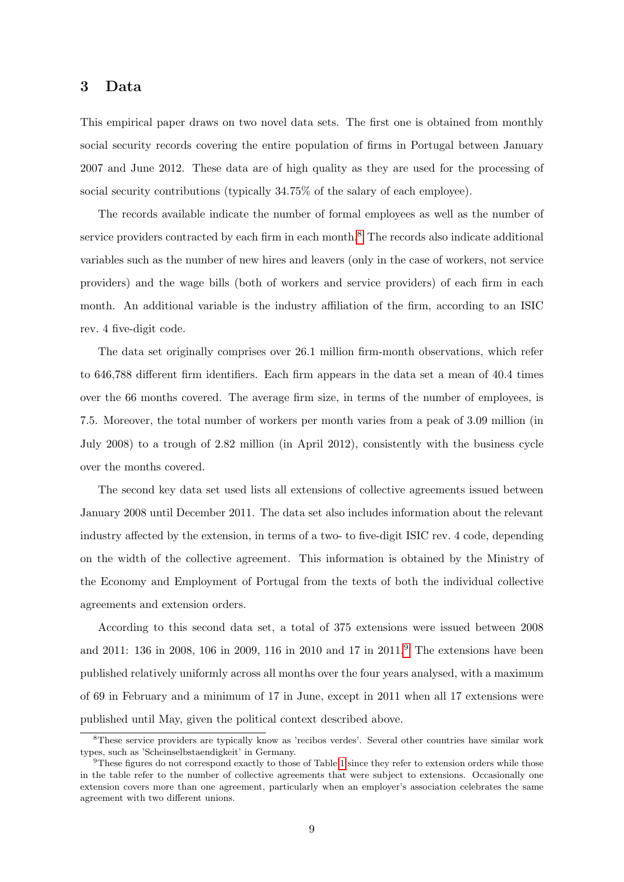#### <span id="page-9-0"></span>3 Data

This empirical paper draws on two novel data sets. The first one is obtained from monthly social security records covering the entire population of firms in Portugal between January 2007 and June 2012. These data are of high quality as they are used for the processing of social security contributions (typically 34.75% of the salary of each employee).

The records available indicate the number of formal employees as well as the number of service providers contracted by each firm in each month.<sup>8</sup> The records also indicate additional variables such as the number of new hires and leavers (only in the case of workers, not service providers) and the wage bills (both of workers and service providers) of each firm in each month. An additional variable is the industry affiliation of the firm, according to an ISIC rev. 4 five-digit code.

The data set originally comprises over 26.1 million firm-month observations, which refer to 646,788 different firm identifiers. Each firm appears in the data set a mean of 40.4 times over the 66 months covered. The average firm size, in terms of the number of employees, is 7.5. Moreover, the total number of workers per month varies from a peak of 3.09 million (in July 2008) to a trough of 2.82 million (in April 2012), consistently with the business cycle over the months covered.

The second key data set used lists all extensions of collective agreements issued between January 2008 until December 2011. The data set also includes information about the relevant industry affected by the extension, in terms of a two- to five-digit ISIC rev. 4 code, depending on the width of the collective agreement. This information is obtained by the Ministry of the Economy and Employment of Portugal from the texts of both the individual collective agreements and extension orders.

According to this second data set, a total of 375 extensions were issued between 2008 and 2011: 136 in 2008, 106 in 2009, 116 in 2010 and 17 in 2011.<sup>9</sup> The extensions have been published relatively uniformly across all months over the four years analysed, with a maximum of 69 in February and a minimum of 17 in June, except in 2011 when all 17 extensions were published until May, given the political context described above.

<sup>8</sup>These service providers are typically know as 'recibos verdes'. Several other countries have similar work types, such as 'Scheinselbstaendigkeit' in Germany.

 $9$ These figures do not correspond exactly to those of Table [1](#page-27-0) since they refer to extension orders while those in the table refer to the number of collective agreements that were subject to extensions. Occasionally one extension covers more than one agreement, particularly when an employer's association celebrates the same agreement with two different unions.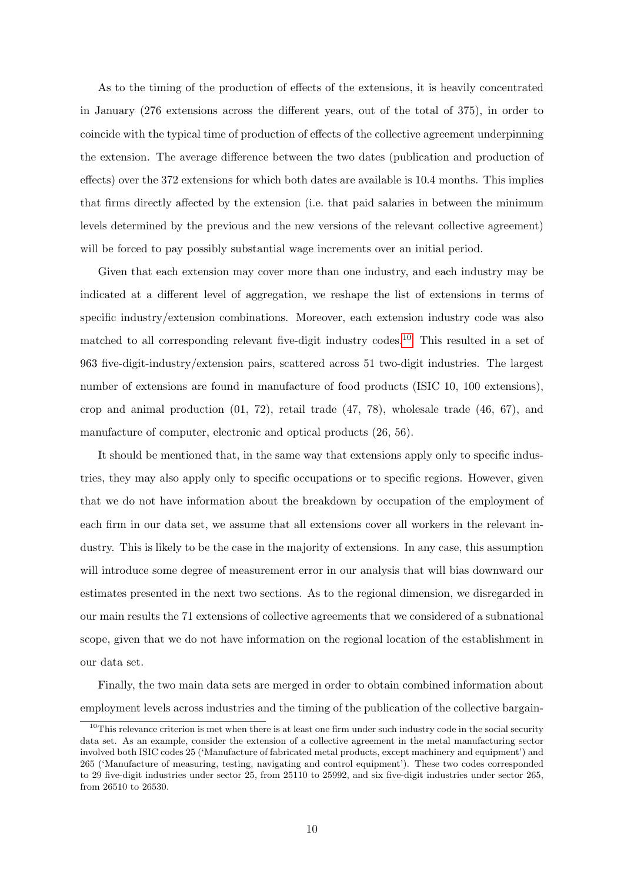As to the timing of the production of effects of the extensions, it is heavily concentrated in January (276 extensions across the different years, out of the total of 375), in order to coincide with the typical time of production of effects of the collective agreement underpinning the extension. The average difference between the two dates (publication and production of effects) over the 372 extensions for which both dates are available is 10.4 months. This implies that firms directly affected by the extension (i.e. that paid salaries in between the minimum levels determined by the previous and the new versions of the relevant collective agreement) will be forced to pay possibly substantial wage increments over an initial period.

Given that each extension may cover more than one industry, and each industry may be indicated at a different level of aggregation, we reshape the list of extensions in terms of specific industry/extension combinations. Moreover, each extension industry code was also matched to all corresponding relevant five-digit industry codes.<sup>10</sup> This resulted in a set of 963 five-digit-industry/extension pairs, scattered across 51 two-digit industries. The largest number of extensions are found in manufacture of food products (ISIC 10, 100 extensions), crop and animal production (01, 72), retail trade (47, 78), wholesale trade (46, 67), and manufacture of computer, electronic and optical products (26, 56).

It should be mentioned that, in the same way that extensions apply only to specific industries, they may also apply only to specific occupations or to specific regions. However, given that we do not have information about the breakdown by occupation of the employment of each firm in our data set, we assume that all extensions cover all workers in the relevant industry. This is likely to be the case in the majority of extensions. In any case, this assumption will introduce some degree of measurement error in our analysis that will bias downward our estimates presented in the next two sections. As to the regional dimension, we disregarded in our main results the 71 extensions of collective agreements that we considered of a subnational scope, given that we do not have information on the regional location of the establishment in our data set.

Finally, the two main data sets are merged in order to obtain combined information about employment levels across industries and the timing of the publication of the collective bargain-

 $10$ This relevance criterion is met when there is at least one firm under such industry code in the social security data set. As an example, consider the extension of a collective agreement in the metal manufacturing sector involved both ISIC codes 25 ('Manufacture of fabricated metal products, except machinery and equipment') and 265 ('Manufacture of measuring, testing, navigating and control equipment'). These two codes corresponded to 29 five-digit industries under sector 25, from 25110 to 25992, and six five-digit industries under sector 265, from 26510 to 26530.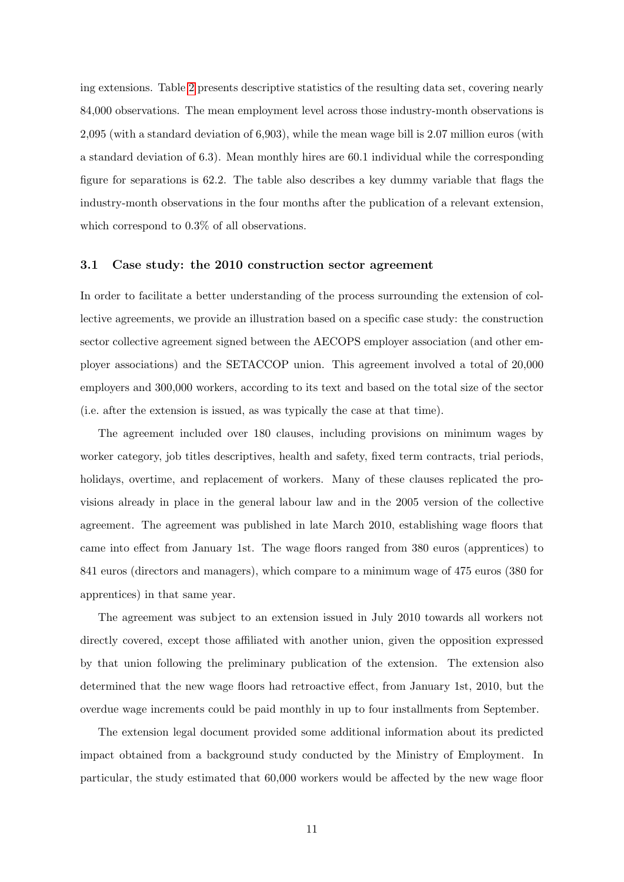ing extensions. Table [2](#page-28-0) presents descriptive statistics of the resulting data set, covering nearly 84,000 observations. The mean employment level across those industry-month observations is 2,095 (with a standard deviation of 6,903), while the mean wage bill is 2.07 million euros (with a standard deviation of 6.3). Mean monthly hires are 60.1 individual while the corresponding figure for separations is 62.2. The table also describes a key dummy variable that flags the industry-month observations in the four months after the publication of a relevant extension, which correspond to  $0.3\%$  of all observations.

#### 3.1 Case study: the 2010 construction sector agreement

In order to facilitate a better understanding of the process surrounding the extension of collective agreements, we provide an illustration based on a specific case study: the construction sector collective agreement signed between the AECOPS employer association (and other employer associations) and the SETACCOP union. This agreement involved a total of 20,000 employers and 300,000 workers, according to its text and based on the total size of the sector (i.e. after the extension is issued, as was typically the case at that time).

The agreement included over 180 clauses, including provisions on minimum wages by worker category, job titles descriptives, health and safety, fixed term contracts, trial periods, holidays, overtime, and replacement of workers. Many of these clauses replicated the provisions already in place in the general labour law and in the 2005 version of the collective agreement. The agreement was published in late March 2010, establishing wage floors that came into effect from January 1st. The wage floors ranged from 380 euros (apprentices) to 841 euros (directors and managers), which compare to a minimum wage of 475 euros (380 for apprentices) in that same year.

The agreement was subject to an extension issued in July 2010 towards all workers not directly covered, except those affiliated with another union, given the opposition expressed by that union following the preliminary publication of the extension. The extension also determined that the new wage floors had retroactive effect, from January 1st, 2010, but the overdue wage increments could be paid monthly in up to four installments from September.

The extension legal document provided some additional information about its predicted impact obtained from a background study conducted by the Ministry of Employment. In particular, the study estimated that 60,000 workers would be affected by the new wage floor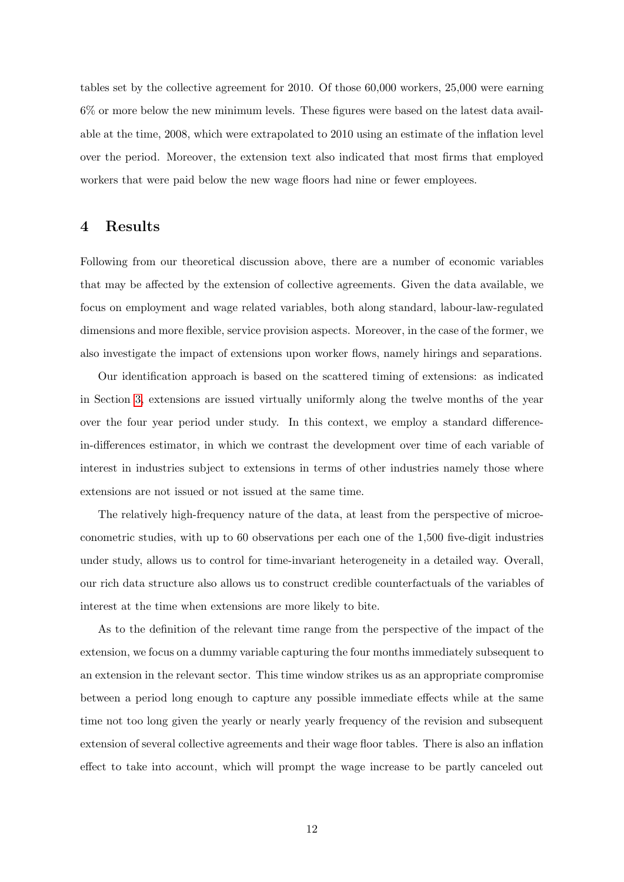<span id="page-12-0"></span>tables set by the collective agreement for 2010. Of those 60,000 workers, 25,000 were earning 6% or more below the new minimum levels. These figures were based on the latest data available at the time, 2008, which were extrapolated to 2010 using an estimate of the inflation level over the period. Moreover, the extension text also indicated that most firms that employed workers that were paid below the new wage floors had nine or fewer employees.

## 4 Results

Following from our theoretical discussion above, there are a number of economic variables that may be affected by the extension of collective agreements. Given the data available, we focus on employment and wage related variables, both along standard, labour-law-regulated dimensions and more flexible, service provision aspects. Moreover, in the case of the former, we also investigate the impact of extensions upon worker flows, namely hirings and separations.

Our identification approach is based on the scattered timing of extensions: as indicated in Section [3,](#page-9-0) extensions are issued virtually uniformly along the twelve months of the year over the four year period under study. In this context, we employ a standard differencein-differences estimator, in which we contrast the development over time of each variable of interest in industries subject to extensions in terms of other industries namely those where extensions are not issued or not issued at the same time.

The relatively high-frequency nature of the data, at least from the perspective of microeconometric studies, with up to 60 observations per each one of the 1,500 five-digit industries under study, allows us to control for time-invariant heterogeneity in a detailed way. Overall, our rich data structure also allows us to construct credible counterfactuals of the variables of interest at the time when extensions are more likely to bite.

As to the definition of the relevant time range from the perspective of the impact of the extension, we focus on a dummy variable capturing the four months immediately subsequent to an extension in the relevant sector. This time window strikes us as an appropriate compromise between a period long enough to capture any possible immediate effects while at the same time not too long given the yearly or nearly yearly frequency of the revision and subsequent extension of several collective agreements and their wage floor tables. There is also an inflation effect to take into account, which will prompt the wage increase to be partly canceled out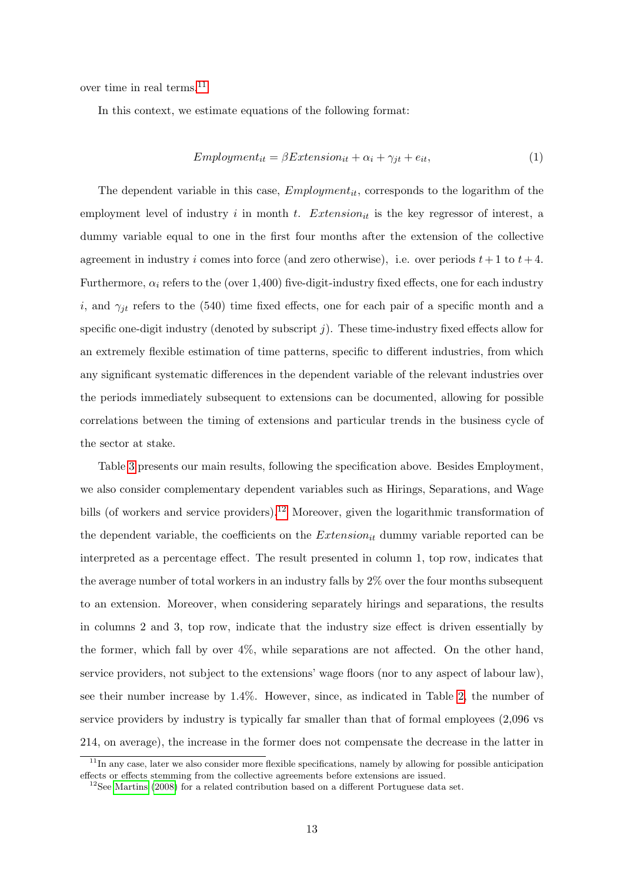<span id="page-13-0"></span>over time in real terms.<sup>11</sup>

In this context, we estimate equations of the following format:

$$
Emplogment_{it} = \beta Extension_{it} + \alpha_i + \gamma_{jt} + e_{it}, \qquad (1)
$$

The dependent variable in this case,  $Emplogment_{it}$ , corresponds to the logarithm of the employment level of industry i in month t. Extension<sub>it</sub> is the key regressor of interest, a dummy variable equal to one in the first four months after the extension of the collective agreement in industry i comes into force (and zero otherwise), i.e. over periods  $t + 1$  to  $t + 4$ . Furthermore,  $\alpha_i$  refers to the (over 1,400) five-digit-industry fixed effects, one for each industry i, and  $\gamma_{jt}$  refers to the (540) time fixed effects, one for each pair of a specific month and a specific one-digit industry (denoted by subscript  $j$ ). These time-industry fixed effects allow for an extremely flexible estimation of time patterns, specific to different industries, from which any significant systematic differences in the dependent variable of the relevant industries over the periods immediately subsequent to extensions can be documented, allowing for possible correlations between the timing of extensions and particular trends in the business cycle of the sector at stake.

Table [3](#page-29-0) presents our main results, following the specification above. Besides Employment, we also consider complementary dependent variables such as Hirings, Separations, and Wage bills (of workers and service providers).<sup>12</sup> Moreover, given the logarithmic transformation of the dependent variable, the coefficients on the  $Extension_{it}$  dummy variable reported can be interpreted as a percentage effect. The result presented in column 1, top row, indicates that the average number of total workers in an industry falls by 2% over the four months subsequent to an extension. Moreover, when considering separately hirings and separations, the results in columns 2 and 3, top row, indicate that the industry size effect is driven essentially by the former, which fall by over 4%, while separations are not affected. On the other hand, service providers, not subject to the extensions' wage floors (nor to any aspect of labour law), see their number increase by 1.4%. However, since, as indicated in Table [2,](#page-28-0) the number of service providers by industry is typically far smaller than that of formal employees (2,096 vs 214, on average), the increase in the former does not compensate the decrease in the latter in

 $11$ In any case, later we also consider more flexible specifications, namely by allowing for possible anticipation effects or effects stemming from the collective agreements before extensions are issued.

 $12$ See [Martins](#page-25-0) [\(2008\)](#page-25-0) for a related contribution based on a different Portuguese data set.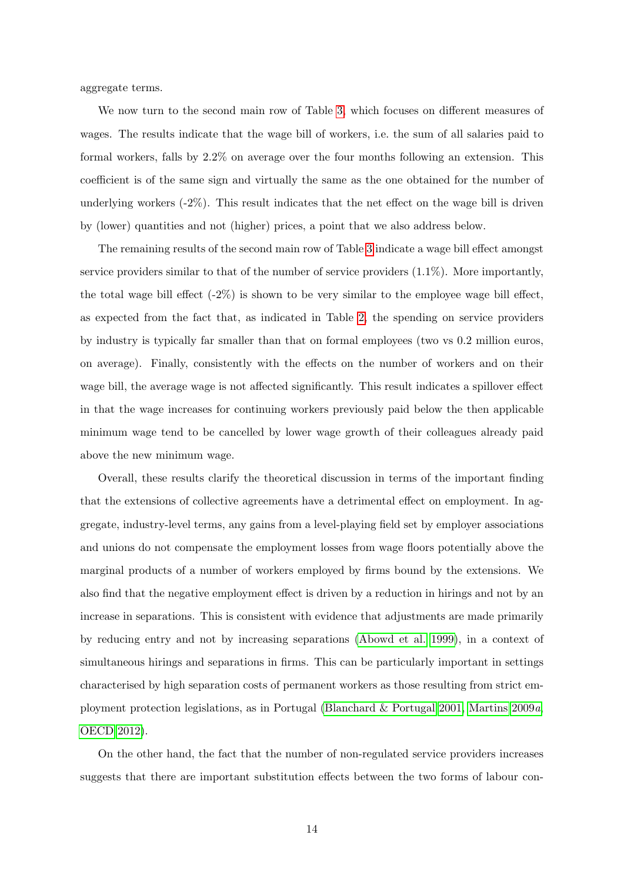aggregate terms.

We now turn to the second main row of Table [3,](#page-29-0) which focuses on different measures of wages. The results indicate that the wage bill of workers, i.e. the sum of all salaries paid to formal workers, falls by 2.2% on average over the four months following an extension. This coefficient is of the same sign and virtually the same as the one obtained for the number of underlying workers  $(-2\%)$ . This result indicates that the net effect on the wage bill is driven by (lower) quantities and not (higher) prices, a point that we also address below.

The remaining results of the second main row of Table [3](#page-29-0) indicate a wage bill effect amongst service providers similar to that of the number of service providers (1.1%). More importantly, the total wage bill effect  $(-2\%)$  is shown to be very similar to the employee wage bill effect, as expected from the fact that, as indicated in Table [2,](#page-28-0) the spending on service providers by industry is typically far smaller than that on formal employees (two vs 0.2 million euros, on average). Finally, consistently with the effects on the number of workers and on their wage bill, the average wage is not affected significantly. This result indicates a spillover effect in that the wage increases for continuing workers previously paid below the then applicable minimum wage tend to be cancelled by lower wage growth of their colleagues already paid above the new minimum wage.

Overall, these results clarify the theoretical discussion in terms of the important finding that the extensions of collective agreements have a detrimental effect on employment. In aggregate, industry-level terms, any gains from a level-playing field set by employer associations and unions do not compensate the employment losses from wage floors potentially above the marginal products of a number of workers employed by firms bound by the extensions. We also find that the negative employment effect is driven by a reduction in hirings and not by an increase in separations. This is consistent with evidence that adjustments are made primarily by reducing entry and not by increasing separations [\(Abowd et al. 1999\)](#page-24-0), in a context of simultaneous hirings and separations in firms. This can be particularly important in settings characterised by high separation costs of permanent workers as those resulting from strict employment protection legislations, as in Portugal [\(Blanchard & Portugal 2001,](#page-24-0) [Martins 2009](#page-25-0)a, [OECD 2012\)](#page-26-0).

On the other hand, the fact that the number of non-regulated service providers increases suggests that there are important substitution effects between the two forms of labour con-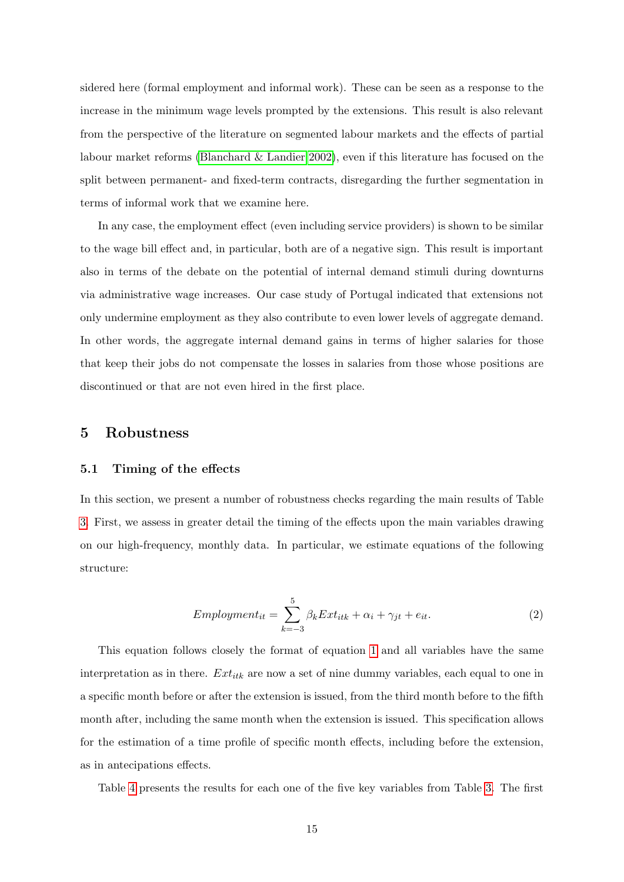<span id="page-15-0"></span>sidered here (formal employment and informal work). These can be seen as a response to the increase in the minimum wage levels prompted by the extensions. This result is also relevant from the perspective of the literature on segmented labour markets and the effects of partial labour market reforms [\(Blanchard & Landier 2002\)](#page-24-0), even if this literature has focused on the split between permanent- and fixed-term contracts, disregarding the further segmentation in terms of informal work that we examine here.

In any case, the employment effect (even including service providers) is shown to be similar to the wage bill effect and, in particular, both are of a negative sign. This result is important also in terms of the debate on the potential of internal demand stimuli during downturns via administrative wage increases. Our case study of Portugal indicated that extensions not only undermine employment as they also contribute to even lower levels of aggregate demand. In other words, the aggregate internal demand gains in terms of higher salaries for those that keep their jobs do not compensate the losses in salaries from those whose positions are discontinued or that are not even hired in the first place.

### 5 Robustness

#### 5.1 Timing of the effects

In this section, we present a number of robustness checks regarding the main results of Table [3.](#page-29-0) First, we assess in greater detail the timing of the effects upon the main variables drawing on our high-frequency, monthly data. In particular, we estimate equations of the following structure:

$$
Emplogment_{it} = \sum_{k=-3}^{5} \beta_k Ext_{itk} + \alpha_i + \gamma_{jt} + e_{it}.
$$
\n(2)

This equation follows closely the format of equation [1](#page-13-0) and all variables have the same interpretation as in there.  $Ext_{ik}$  are now a set of nine dummy variables, each equal to one in a specific month before or after the extension is issued, from the third month before to the fifth month after, including the same month when the extension is issued. This specification allows for the estimation of a time profile of specific month effects, including before the extension, as in antecipations effects.

Table [4](#page-30-0) presents the results for each one of the five key variables from Table [3.](#page-29-0) The first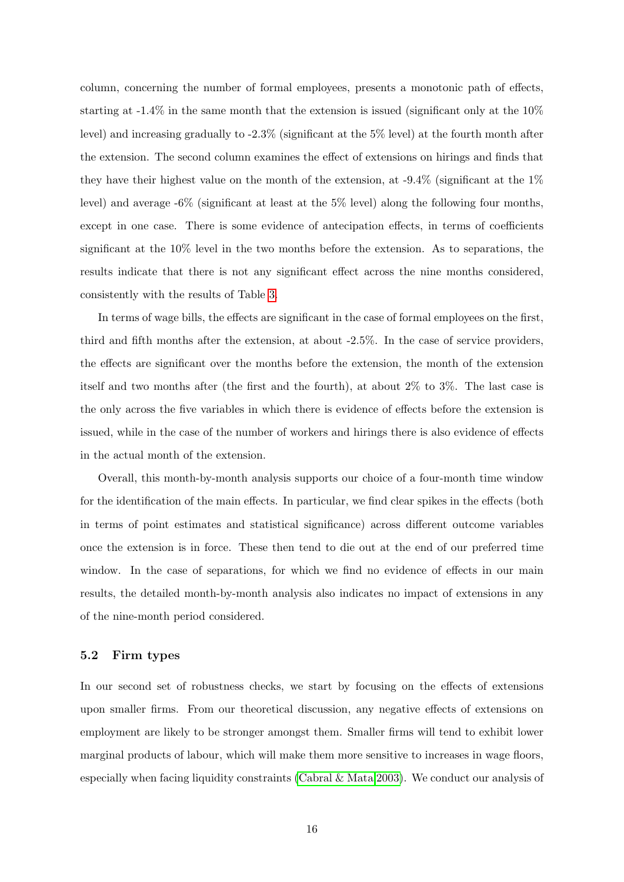<span id="page-16-0"></span>column, concerning the number of formal employees, presents a monotonic path of effects, starting at  $-1.4\%$  in the same month that the extension is issued (significant only at the 10%) level) and increasing gradually to -2.3% (significant at the 5% level) at the fourth month after the extension. The second column examines the effect of extensions on hirings and finds that they have their highest value on the month of the extension, at  $-9.4\%$  (significant at the  $1\%$ level) and average  $-6\%$  (significant at least at the 5% level) along the following four months, except in one case. There is some evidence of antecipation effects, in terms of coefficients significant at the 10% level in the two months before the extension. As to separations, the results indicate that there is not any significant effect across the nine months considered, consistently with the results of Table [3.](#page-29-0)

In terms of wage bills, the effects are significant in the case of formal employees on the first, third and fifth months after the extension, at about -2.5%. In the case of service providers, the effects are significant over the months before the extension, the month of the extension itself and two months after (the first and the fourth), at about 2% to 3%. The last case is the only across the five variables in which there is evidence of effects before the extension is issued, while in the case of the number of workers and hirings there is also evidence of effects in the actual month of the extension.

Overall, this month-by-month analysis supports our choice of a four-month time window for the identification of the main effects. In particular, we find clear spikes in the effects (both in terms of point estimates and statistical significance) across different outcome variables once the extension is in force. These then tend to die out at the end of our preferred time window. In the case of separations, for which we find no evidence of effects in our main results, the detailed month-by-month analysis also indicates no impact of extensions in any of the nine-month period considered.

#### 5.2 Firm types

In our second set of robustness checks, we start by focusing on the effects of extensions upon smaller firms. From our theoretical discussion, any negative effects of extensions on employment are likely to be stronger amongst them. Smaller firms will tend to exhibit lower marginal products of labour, which will make them more sensitive to increases in wage floors, especially when facing liquidity constraints [\(Cabral & Mata 2003\)](#page-24-0). We conduct our analysis of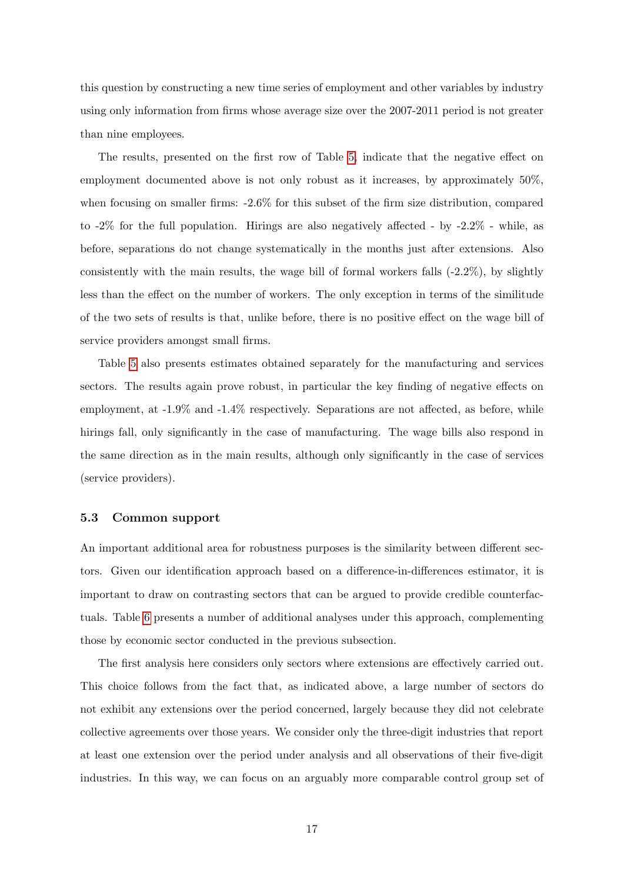this question by constructing a new time series of employment and other variables by industry using only information from firms whose average size over the 2007-2011 period is not greater than nine employees.

The results, presented on the first row of Table [5,](#page-31-0) indicate that the negative effect on employment documented above is not only robust as it increases, by approximately 50%, when focusing on smaller firms: -2.6% for this subset of the firm size distribution, compared to  $-2\%$  for the full population. Hirings are also negatively affected - by  $-2.2\%$  - while, as before, separations do not change systematically in the months just after extensions. Also consistently with the main results, the wage bill of formal workers falls  $(-2.2\%)$ , by slightly less than the effect on the number of workers. The only exception in terms of the similitude of the two sets of results is that, unlike before, there is no positive effect on the wage bill of service providers amongst small firms.

Table [5](#page-31-0) also presents estimates obtained separately for the manufacturing and services sectors. The results again prove robust, in particular the key finding of negative effects on employment, at -1.9% and -1.4% respectively. Separations are not affected, as before, while hirings fall, only significantly in the case of manufacturing. The wage bills also respond in the same direction as in the main results, although only significantly in the case of services (service providers).

#### 5.3 Common support

An important additional area for robustness purposes is the similarity between different sectors. Given our identification approach based on a difference-in-differences estimator, it is important to draw on contrasting sectors that can be argued to provide credible counterfactuals. Table [6](#page-32-0) presents a number of additional analyses under this approach, complementing those by economic sector conducted in the previous subsection.

The first analysis here considers only sectors where extensions are effectively carried out. This choice follows from the fact that, as indicated above, a large number of sectors do not exhibit any extensions over the period concerned, largely because they did not celebrate collective agreements over those years. We consider only the three-digit industries that report at least one extension over the period under analysis and all observations of their five-digit industries. In this way, we can focus on an arguably more comparable control group set of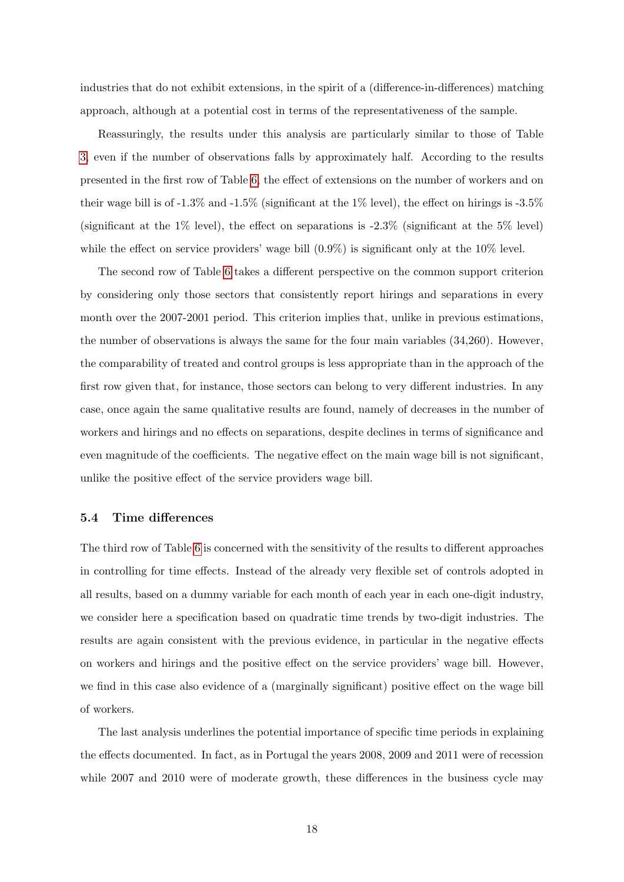industries that do not exhibit extensions, in the spirit of a (difference-in-differences) matching approach, although at a potential cost in terms of the representativeness of the sample.

Reassuringly, the results under this analysis are particularly similar to those of Table [3,](#page-29-0) even if the number of observations falls by approximately half. According to the results presented in the first row of Table [6,](#page-32-0) the effect of extensions on the number of workers and on their wage bill is of  $-1.3\%$  and  $-1.5\%$  (significant at the 1% level), the effect on hirings is  $-3.5\%$ (significant at the  $1\%$  level), the effect on separations is  $-2.3\%$  (significant at the 5% level) while the effect on service providers' wage bill  $(0.9\%)$  is significant only at the 10% level.

The second row of Table [6](#page-32-0) takes a different perspective on the common support criterion by considering only those sectors that consistently report hirings and separations in every month over the 2007-2001 period. This criterion implies that, unlike in previous estimations, the number of observations is always the same for the four main variables (34,260). However, the comparability of treated and control groups is less appropriate than in the approach of the first row given that, for instance, those sectors can belong to very different industries. In any case, once again the same qualitative results are found, namely of decreases in the number of workers and hirings and no effects on separations, despite declines in terms of significance and even magnitude of the coefficients. The negative effect on the main wage bill is not significant, unlike the positive effect of the service providers wage bill.

#### 5.4 Time differences

The third row of Table [6](#page-32-0) is concerned with the sensitivity of the results to different approaches in controlling for time effects. Instead of the already very flexible set of controls adopted in all results, based on a dummy variable for each month of each year in each one-digit industry, we consider here a specification based on quadratic time trends by two-digit industries. The results are again consistent with the previous evidence, in particular in the negative effects on workers and hirings and the positive effect on the service providers' wage bill. However, we find in this case also evidence of a (marginally significant) positive effect on the wage bill of workers.

The last analysis underlines the potential importance of specific time periods in explaining the effects documented. In fact, as in Portugal the years 2008, 2009 and 2011 were of recession while 2007 and 2010 were of moderate growth, these differences in the business cycle may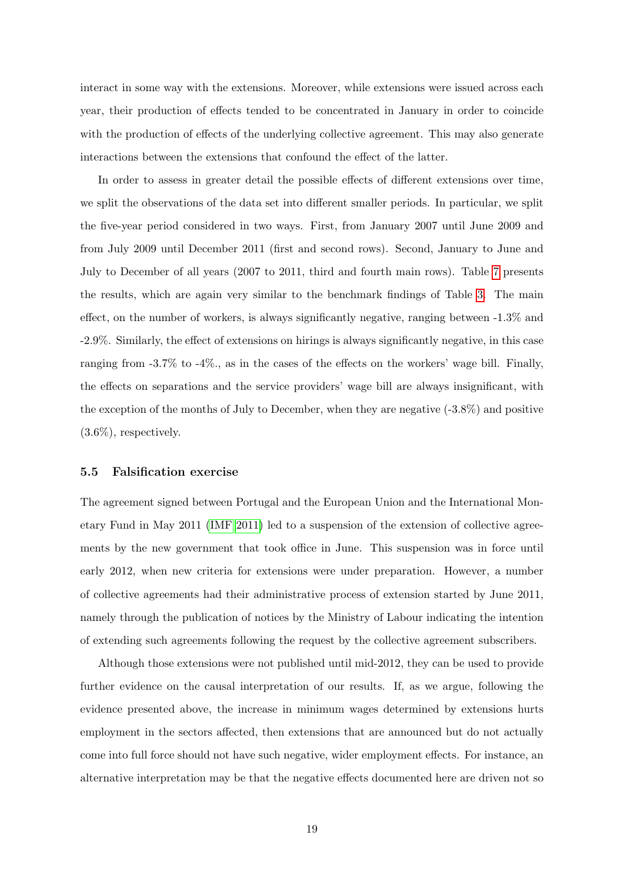<span id="page-19-0"></span>interact in some way with the extensions. Moreover, while extensions were issued across each year, their production of effects tended to be concentrated in January in order to coincide with the production of effects of the underlying collective agreement. This may also generate interactions between the extensions that confound the effect of the latter.

In order to assess in greater detail the possible effects of different extensions over time, we split the observations of the data set into different smaller periods. In particular, we split the five-year period considered in two ways. First, from January 2007 until June 2009 and from July 2009 until December 2011 (first and second rows). Second, January to June and July to December of all years (2007 to 2011, third and fourth main rows). Table [7](#page-33-0) presents the results, which are again very similar to the benchmark findings of Table [3.](#page-29-0) The main effect, on the number of workers, is always significantly negative, ranging between -1.3% and -2.9%. Similarly, the effect of extensions on hirings is always significantly negative, in this case ranging from -3.7% to -4%., as in the cases of the effects on the workers' wage bill. Finally, the effects on separations and the service providers' wage bill are always insignificant, with the exception of the months of July to December, when they are negative (-3.8%) and positive (3.6%), respectively.

#### 5.5 Falsification exercise

The agreement signed between Portugal and the European Union and the International Monetary Fund in May 2011 [\(IMF 2011\)](#page-25-0) led to a suspension of the extension of collective agreements by the new government that took office in June. This suspension was in force until early 2012, when new criteria for extensions were under preparation. However, a number of collective agreements had their administrative process of extension started by June 2011, namely through the publication of notices by the Ministry of Labour indicating the intention of extending such agreements following the request by the collective agreement subscribers.

Although those extensions were not published until mid-2012, they can be used to provide further evidence on the causal interpretation of our results. If, as we argue, following the evidence presented above, the increase in minimum wages determined by extensions hurts employment in the sectors affected, then extensions that are announced but do not actually come into full force should not have such negative, wider employment effects. For instance, an alternative interpretation may be that the negative effects documented here are driven not so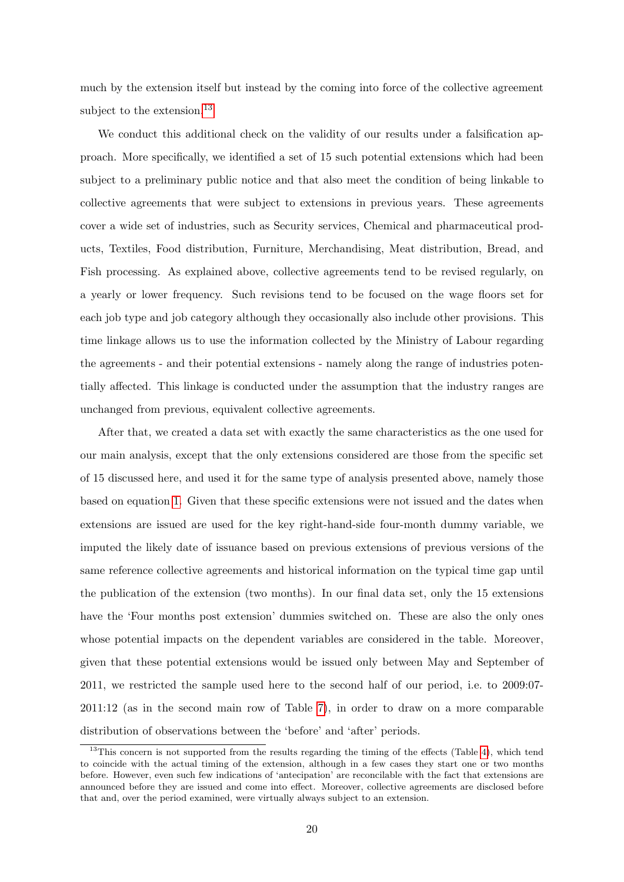much by the extension itself but instead by the coming into force of the collective agreement subject to the extension.<sup>13</sup>

We conduct this additional check on the validity of our results under a falsification approach. More specifically, we identified a set of 15 such potential extensions which had been subject to a preliminary public notice and that also meet the condition of being linkable to collective agreements that were subject to extensions in previous years. These agreements cover a wide set of industries, such as Security services, Chemical and pharmaceutical products, Textiles, Food distribution, Furniture, Merchandising, Meat distribution, Bread, and Fish processing. As explained above, collective agreements tend to be revised regularly, on a yearly or lower frequency. Such revisions tend to be focused on the wage floors set for each job type and job category although they occasionally also include other provisions. This time linkage allows us to use the information collected by the Ministry of Labour regarding the agreements - and their potential extensions - namely along the range of industries potentially affected. This linkage is conducted under the assumption that the industry ranges are unchanged from previous, equivalent collective agreements.

After that, we created a data set with exactly the same characteristics as the one used for our main analysis, except that the only extensions considered are those from the specific set of 15 discussed here, and used it for the same type of analysis presented above, namely those based on equation [1.](#page-13-0) Given that these specific extensions were not issued and the dates when extensions are issued are used for the key right-hand-side four-month dummy variable, we imputed the likely date of issuance based on previous extensions of previous versions of the same reference collective agreements and historical information on the typical time gap until the publication of the extension (two months). In our final data set, only the 15 extensions have the 'Four months post extension' dummies switched on. These are also the only ones whose potential impacts on the dependent variables are considered in the table. Moreover, given that these potential extensions would be issued only between May and September of 2011, we restricted the sample used here to the second half of our period, i.e. to 2009:07- 2011:12 (as in the second main row of Table [7\)](#page-33-0), in order to draw on a more comparable distribution of observations between the 'before' and 'after' periods.

<sup>&</sup>lt;sup>13</sup>This concern is not supported from the results regarding the timing of the effects (Table [4\)](#page-30-0), which tend to coincide with the actual timing of the extension, although in a few cases they start one or two months before. However, even such few indications of 'antecipation' are reconcilable with the fact that extensions are announced before they are issued and come into effect. Moreover, collective agreements are disclosed before that and, over the period examined, were virtually always subject to an extension.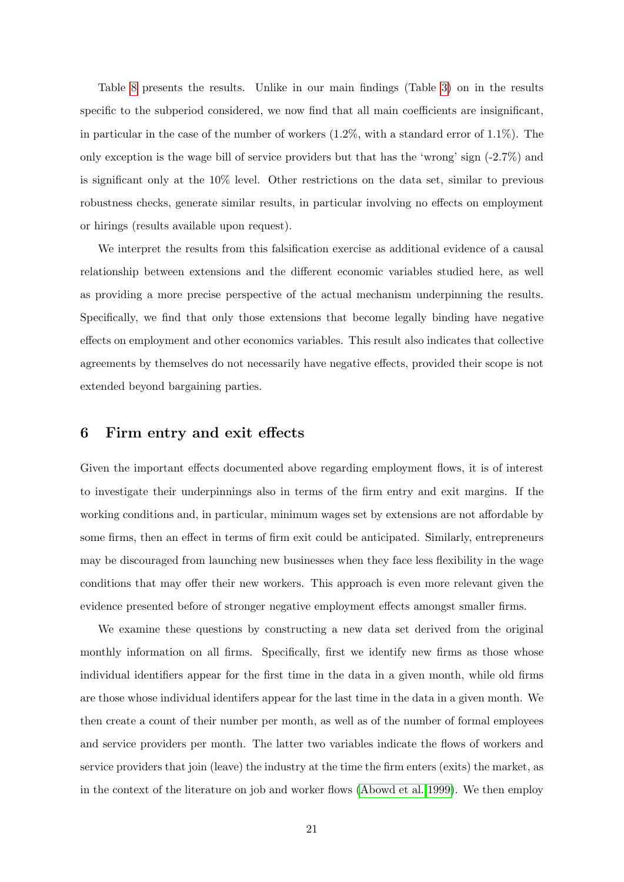<span id="page-21-0"></span>Table [8](#page-34-0) presents the results. Unlike in our main findings (Table [3\)](#page-29-0) on in the results specific to the subperiod considered, we now find that all main coefficients are insignificant, in particular in the case of the number of workers  $(1.2\%$ , with a standard error of  $1.1\%$ ). The only exception is the wage bill of service providers but that has the 'wrong' sign  $(-2.7\%)$  and is significant only at the 10% level. Other restrictions on the data set, similar to previous robustness checks, generate similar results, in particular involving no effects on employment or hirings (results available upon request).

We interpret the results from this falsification exercise as additional evidence of a causal relationship between extensions and the different economic variables studied here, as well as providing a more precise perspective of the actual mechanism underpinning the results. Specifically, we find that only those extensions that become legally binding have negative effects on employment and other economics variables. This result also indicates that collective agreements by themselves do not necessarily have negative effects, provided their scope is not extended beyond bargaining parties.

### 6 Firm entry and exit effects

Given the important effects documented above regarding employment flows, it is of interest to investigate their underpinnings also in terms of the firm entry and exit margins. If the working conditions and, in particular, minimum wages set by extensions are not affordable by some firms, then an effect in terms of firm exit could be anticipated. Similarly, entrepreneurs may be discouraged from launching new businesses when they face less flexibility in the wage conditions that may offer their new workers. This approach is even more relevant given the evidence presented before of stronger negative employment effects amongst smaller firms.

We examine these questions by constructing a new data set derived from the original monthly information on all firms. Specifically, first we identify new firms as those whose individual identifiers appear for the first time in the data in a given month, while old firms are those whose individual identifers appear for the last time in the data in a given month. We then create a count of their number per month, as well as of the number of formal employees and service providers per month. The latter two variables indicate the flows of workers and service providers that join (leave) the industry at the time the firm enters (exits) the market, as in the context of the literature on job and worker flows [\(Abowd et al. 1999\)](#page-24-0). We then employ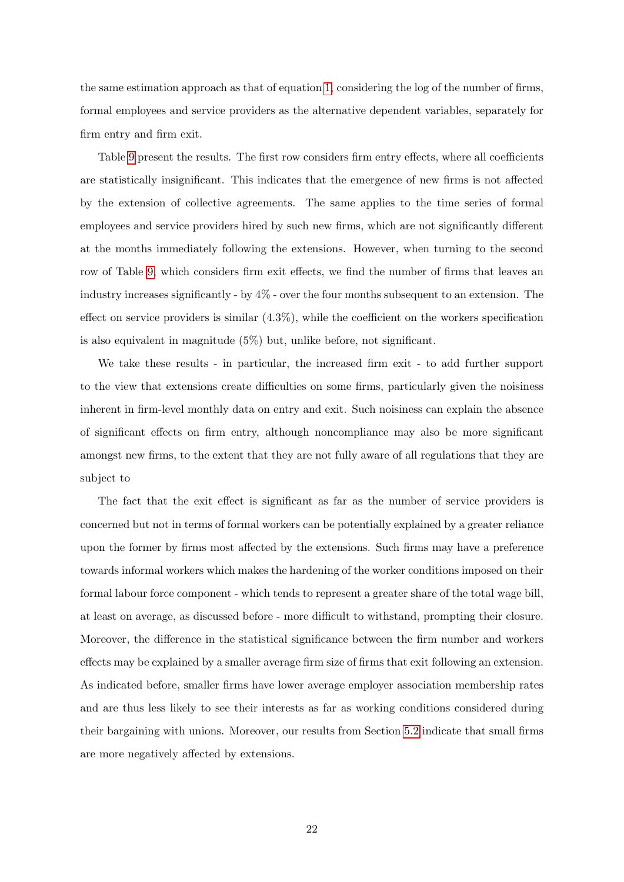the same estimation approach as that of equation [1,](#page-13-0) considering the log of the number of firms, formal employees and service providers as the alternative dependent variables, separately for firm entry and firm exit.

Table [9](#page-35-0) present the results. The first row considers firm entry effects, where all coefficients are statistically insignificant. This indicates that the emergence of new firms is not affected by the extension of collective agreements. The same applies to the time series of formal employees and service providers hired by such new firms, which are not significantly different at the months immediately following the extensions. However, when turning to the second row of Table [9,](#page-35-0) which considers firm exit effects, we find the number of firms that leaves an industry increases significantly - by 4% - over the four months subsequent to an extension. The effect on service providers is similar (4.3%), while the coefficient on the workers specification is also equivalent in magnitude (5%) but, unlike before, not significant.

We take these results - in particular, the increased firm exit - to add further support to the view that extensions create difficulties on some firms, particularly given the noisiness inherent in firm-level monthly data on entry and exit. Such noisiness can explain the absence of significant effects on firm entry, although noncompliance may also be more significant amongst new firms, to the extent that they are not fully aware of all regulations that they are subject to

The fact that the exit effect is significant as far as the number of service providers is concerned but not in terms of formal workers can be potentially explained by a greater reliance upon the former by firms most affected by the extensions. Such firms may have a preference towards informal workers which makes the hardening of the worker conditions imposed on their formal labour force component - which tends to represent a greater share of the total wage bill, at least on average, as discussed before - more difficult to withstand, prompting their closure. Moreover, the difference in the statistical significance between the firm number and workers effects may be explained by a smaller average firm size of firms that exit following an extension. As indicated before, smaller firms have lower average employer association membership rates and are thus less likely to see their interests as far as working conditions considered during their bargaining with unions. Moreover, our results from Section [5.2](#page-16-0) indicate that small firms are more negatively affected by extensions.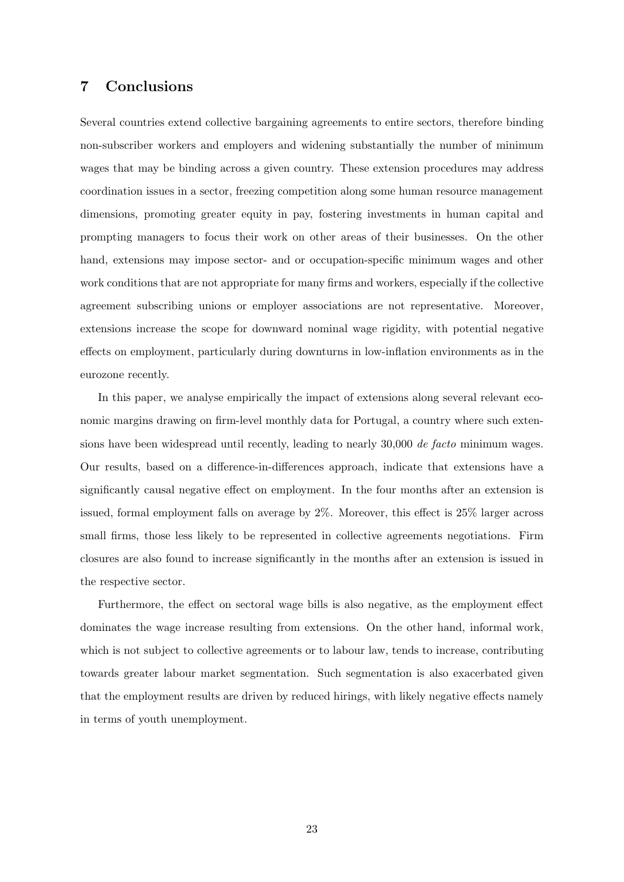## <span id="page-23-0"></span>7 Conclusions

Several countries extend collective bargaining agreements to entire sectors, therefore binding non-subscriber workers and employers and widening substantially the number of minimum wages that may be binding across a given country. These extension procedures may address coordination issues in a sector, freezing competition along some human resource management dimensions, promoting greater equity in pay, fostering investments in human capital and prompting managers to focus their work on other areas of their businesses. On the other hand, extensions may impose sector- and or occupation-specific minimum wages and other work conditions that are not appropriate for many firms and workers, especially if the collective agreement subscribing unions or employer associations are not representative. Moreover, extensions increase the scope for downward nominal wage rigidity, with potential negative effects on employment, particularly during downturns in low-inflation environments as in the eurozone recently.

In this paper, we analyse empirically the impact of extensions along several relevant economic margins drawing on firm-level monthly data for Portugal, a country where such extensions have been widespread until recently, leading to nearly 30,000 de facto minimum wages. Our results, based on a difference-in-differences approach, indicate that extensions have a significantly causal negative effect on employment. In the four months after an extension is issued, formal employment falls on average by 2%. Moreover, this effect is 25% larger across small firms, those less likely to be represented in collective agreements negotiations. Firm closures are also found to increase significantly in the months after an extension is issued in the respective sector.

Furthermore, the effect on sectoral wage bills is also negative, as the employment effect dominates the wage increase resulting from extensions. On the other hand, informal work, which is not subject to collective agreements or to labour law, tends to increase, contributing towards greater labour market segmentation. Such segmentation is also exacerbated given that the employment results are driven by reduced hirings, with likely negative effects namely in terms of youth unemployment.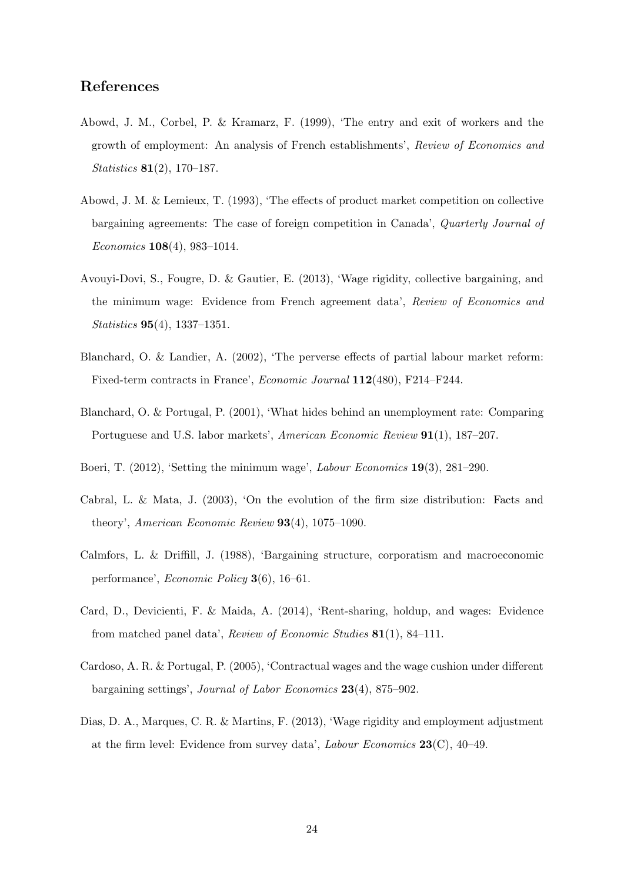## <span id="page-24-0"></span>References

- Abowd, J. M., Corbel, P. & Kramarz, F. (1999), 'The entry and exit of workers and the growth of employment: An analysis of French establishments', Review of Economics and Statistics 81(2), 170–187.
- Abowd, J. M. & Lemieux, T. (1993), 'The effects of product market competition on collective bargaining agreements: The case of foreign competition in Canada', Quarterly Journal of Economics 108(4), 983–1014.
- Avouyi-Dovi, S., Fougre, D. & Gautier, E. (2013), 'Wage rigidity, collective bargaining, and the minimum wage: Evidence from French agreement data', Review of Economics and Statistics 95(4), 1337–1351.
- Blanchard, O. & Landier, A. (2002), 'The perverse effects of partial labour market reform: Fixed-term contracts in France', Economic Journal 112(480), F214–F244.
- Blanchard, O. & Portugal, P. (2001), 'What hides behind an unemployment rate: Comparing Portuguese and U.S. labor markets', American Economic Review 91(1), 187–207.
- Boeri, T. (2012), 'Setting the minimum wage', Labour Economics 19(3), 281–290.
- Cabral, L. & Mata, J. (2003), 'On the evolution of the firm size distribution: Facts and theory', American Economic Review 93(4), 1075–1090.
- Calmfors, L. & Driffill, J. (1988), 'Bargaining structure, corporatism and macroeconomic performance', Economic Policy 3(6), 16–61.
- Card, D., Devicienti, F. & Maida, A. (2014), 'Rent-sharing, holdup, and wages: Evidence from matched panel data', Review of Economic Studies 81(1), 84–111.
- Cardoso, A. R. & Portugal, P. (2005), 'Contractual wages and the wage cushion under different bargaining settings', Journal of Labor Economics 23(4), 875–902.
- Dias, D. A., Marques, C. R. & Martins, F. (2013), 'Wage rigidity and employment adjustment at the firm level: Evidence from survey data', *Labour Economics*  $23(C)$ , 40–49.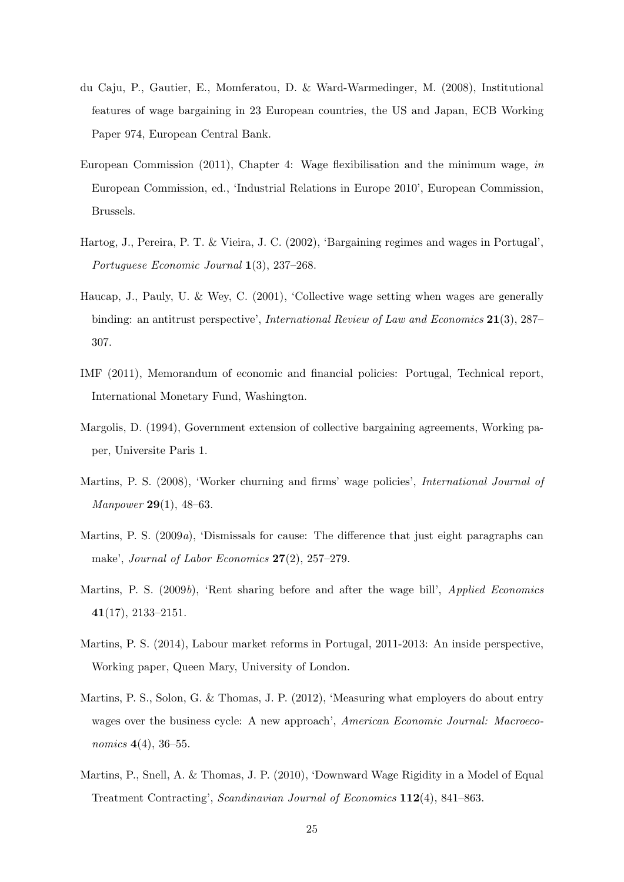- <span id="page-25-0"></span>du Caju, P., Gautier, E., Momferatou, D. & Ward-Warmedinger, M. (2008), Institutional features of wage bargaining in 23 European countries, the US and Japan, ECB Working Paper 974, European Central Bank.
- European Commission (2011), Chapter 4: Wage flexibilisation and the minimum wage, in European Commission, ed., 'Industrial Relations in Europe 2010', European Commission, Brussels.
- Hartog, J., Pereira, P. T. & Vieira, J. C. (2002), 'Bargaining regimes and wages in Portugal', Portuguese Economic Journal 1(3), 237–268.
- Haucap, J., Pauly, U. & Wey, C. (2001), 'Collective wage setting when wages are generally binding: an antitrust perspective', International Review of Law and Economics 21(3), 287– 307.
- IMF (2011), Memorandum of economic and financial policies: Portugal, Technical report, International Monetary Fund, Washington.
- Margolis, D. (1994), Government extension of collective bargaining agreements, Working paper, Universite Paris 1.
- Martins, P. S. (2008), 'Worker churning and firms' wage policies', International Journal of Manpower 29(1), 48–63.
- Martins, P. S. (2009a), 'Dismissals for cause: The difference that just eight paragraphs can make', Journal of Labor Economics 27(2), 257–279.
- Martins, P. S. (2009b), 'Rent sharing before and after the wage bill', *Applied Economics* 41(17), 2133–2151.
- Martins, P. S. (2014), Labour market reforms in Portugal, 2011-2013: An inside perspective, Working paper, Queen Mary, University of London.
- Martins, P. S., Solon, G. & Thomas, J. P. (2012), 'Measuring what employers do about entry wages over the business cycle: A new approach', American Economic Journal: Macroeconomics 4(4), 36–55.
- Martins, P., Snell, A. & Thomas, J. P. (2010), 'Downward Wage Rigidity in a Model of Equal Treatment Contracting', Scandinavian Journal of Economics 112(4), 841–863.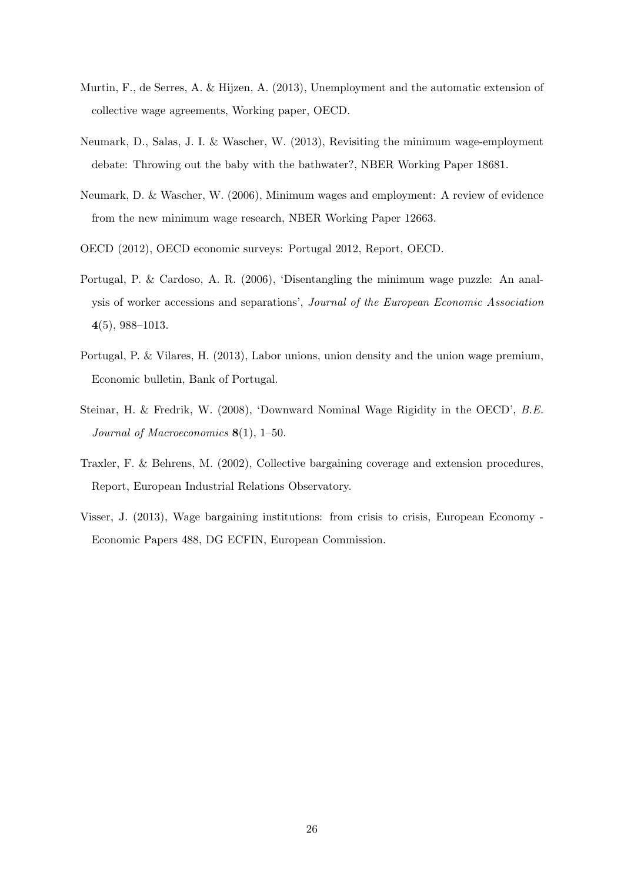- <span id="page-26-0"></span>Murtin, F., de Serres, A. & Hijzen, A. (2013), Unemployment and the automatic extension of collective wage agreements, Working paper, OECD.
- Neumark, D., Salas, J. I. & Wascher, W. (2013), Revisiting the minimum wage-employment debate: Throwing out the baby with the bathwater?, NBER Working Paper 18681.
- Neumark, D. & Wascher, W. (2006), Minimum wages and employment: A review of evidence from the new minimum wage research, NBER Working Paper 12663.
- OECD (2012), OECD economic surveys: Portugal 2012, Report, OECD.
- Portugal, P. & Cardoso, A. R. (2006), 'Disentangling the minimum wage puzzle: An analysis of worker accessions and separations', Journal of the European Economic Association 4(5), 988–1013.
- Portugal, P. & Vilares, H. (2013), Labor unions, union density and the union wage premium, Economic bulletin, Bank of Portugal.
- Steinar, H. & Fredrik, W. (2008), 'Downward Nominal Wage Rigidity in the OECD', B.E. Journal of Macroeconomics  $8(1)$ , 1–50.
- Traxler, F. & Behrens, M. (2002), Collective bargaining coverage and extension procedures, Report, European Industrial Relations Observatory.
- Visser, J. (2013), Wage bargaining institutions: from crisis to crisis, European Economy Economic Papers 488, DG ECFIN, European Commission.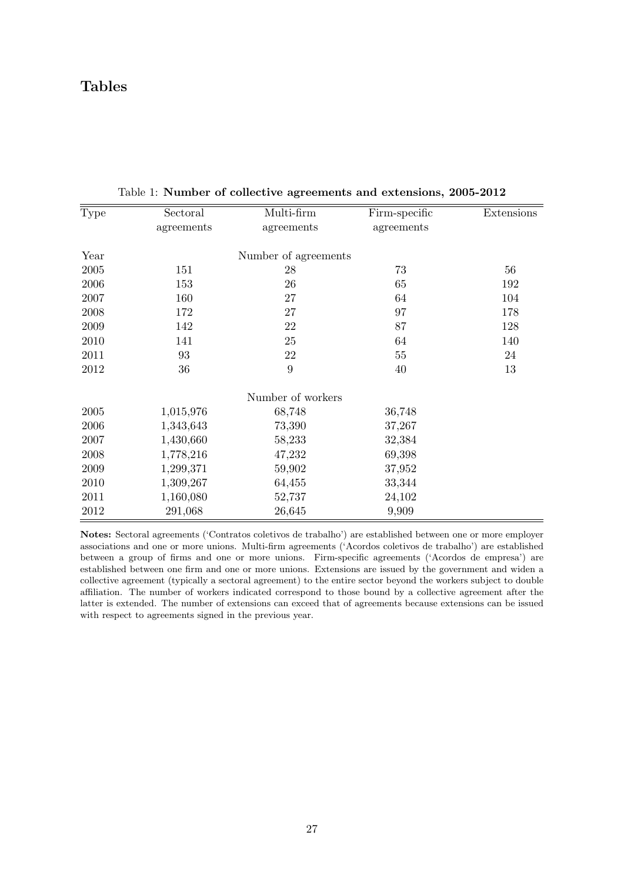## <span id="page-27-0"></span>Tables

| Type       | Sectoral   | Multi-firm           | Firm-specific | Extensions |
|------------|------------|----------------------|---------------|------------|
|            | agreements | agreements           | agreements    |            |
| Year       |            | Number of agreements |               |            |
| $\,2005\,$ | 151        | 28                   | 73            | 56         |
| 2006       | 153        | 26                   | 65            | 192        |
| 2007       | 160        | 27                   | 64            | 104        |
| 2008       | 172        | 27                   | 97            | 178        |
| 2009       | 142        | 22                   | 87            | 128        |
| 2010       | 141        | 25                   | 64            | 140        |
| 2011       | 93         | 22                   | 55            | 24         |
| 2012       | 36         | 9                    | 40            | 13         |
|            |            | Number of workers    |               |            |
| 2005       | 1,015,976  | 68,748               | 36,748        |            |
| 2006       | 1,343,643  | 73,390               | 37,267        |            |
| 2007       | 1,430,660  | 58,233               | 32,384        |            |
| 2008       | 1,778,216  | 47,232               | 69,398        |            |
| 2009       | 1,299,371  | 59,902               | 37,952        |            |
| 2010       | 1,309,267  | 64,455               | 33,344        |            |
| 2011       | 1,160,080  | 52,737               | 24,102        |            |
| 2012       | 291,068    | 26,645               | 9,909         |            |

Table 1: Number of collective agreements and extensions, 2005-2012

Notes: Sectoral agreements ('Contratos coletivos de trabalho') are established between one or more employer associations and one or more unions. Multi-firm agreements ('Acordos coletivos de trabalho') are established between a group of firms and one or more unions. Firm-specific agreements ('Acordos de empresa') are established between one firm and one or more unions. Extensions are issued by the government and widen a collective agreement (typically a sectoral agreement) to the entire sector beyond the workers subject to double affiliation. The number of workers indicated correspond to those bound by a collective agreement after the latter is extended. The number of extensions can exceed that of agreements because extensions can be issued with respect to agreements signed in the previous year.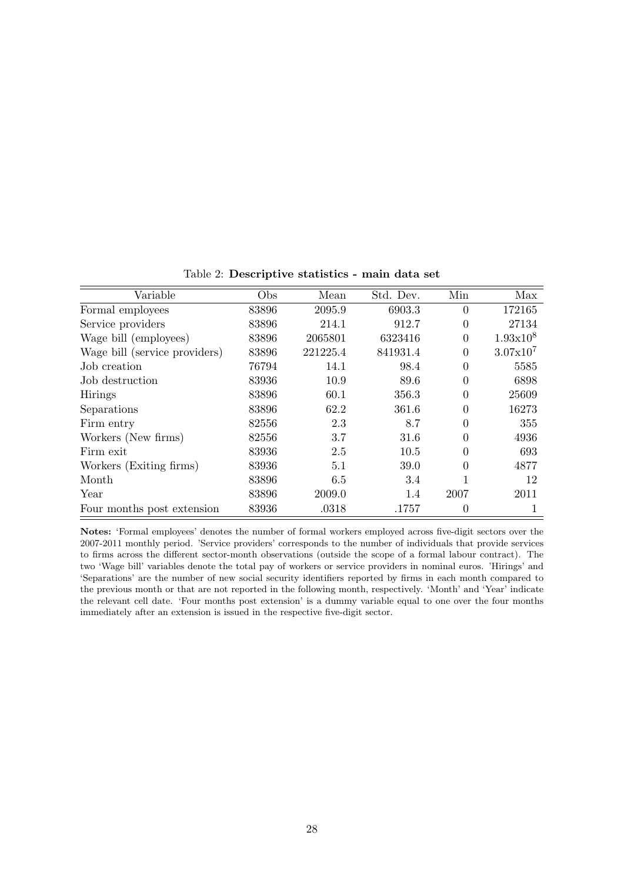<span id="page-28-0"></span>

| Variable                      | Obs   | Mean     | Std. Dev. | Min            | Max           |
|-------------------------------|-------|----------|-----------|----------------|---------------|
| Formal employees              | 83896 | 2095.9   | 6903.3    | $\overline{0}$ | 172165        |
| Service providers             | 83896 | 214.1    | 912.7     | $\Omega$       | 27134         |
| Wage bill (employees)         | 83896 | 2065801  | 6323416   | $\theta$       | $1.93x10^{8}$ |
| Wage bill (service providers) | 83896 | 221225.4 | 841931.4  | $\overline{0}$ | $3.07x10^{7}$ |
| Job creation                  | 76794 | 14.1     | 98.4      | $\Omega$       | 5585          |
| Job destruction               | 83936 | 10.9     | 89.6      | $\Omega$       | 6898          |
| <b>Hirings</b>                | 83896 | 60.1     | 356.3     | $\theta$       | 25609         |
| Separations                   | 83896 | 62.2     | 361.6     | $\Omega$       | 16273         |
| Firm entry                    | 82556 | 2.3      | 8.7       | $\theta$       | 355           |
| Workers (New firms)           | 82556 | 3.7      | 31.6      | $\theta$       | 4936          |
| Firm exit                     | 83936 | 2.5      | 10.5      | 0              | 693           |
| Workers (Exiting firms)       | 83936 | 5.1      | 39.0      | $\Omega$       | 4877          |
| Month                         | 83896 | 6.5      | 3.4       |                | 12            |
| Year                          | 83896 | 2009.0   | 1.4       | 2007           | 2011          |
| Four months post extension    | 83936 | .0318    | .1757     | $\theta$       |               |

Table 2: Descriptive statistics - main data set

Notes: 'Formal employees' denotes the number of formal workers employed across five-digit sectors over the 2007-2011 monthly period. 'Service providers' corresponds to the number of individuals that provide services to firms across the different sector-month observations (outside the scope of a formal labour contract). The two 'Wage bill' variables denote the total pay of workers or service providers in nominal euros. 'Hirings' and 'Separations' are the number of new social security identifiers reported by firms in each month compared to the previous month or that are not reported in the following month, respectively. 'Month' and 'Year' indicate the relevant cell date. 'Four months post extension' is a dummy variable equal to one over the four months immediately after an extension is issued in the respective five-digit sector.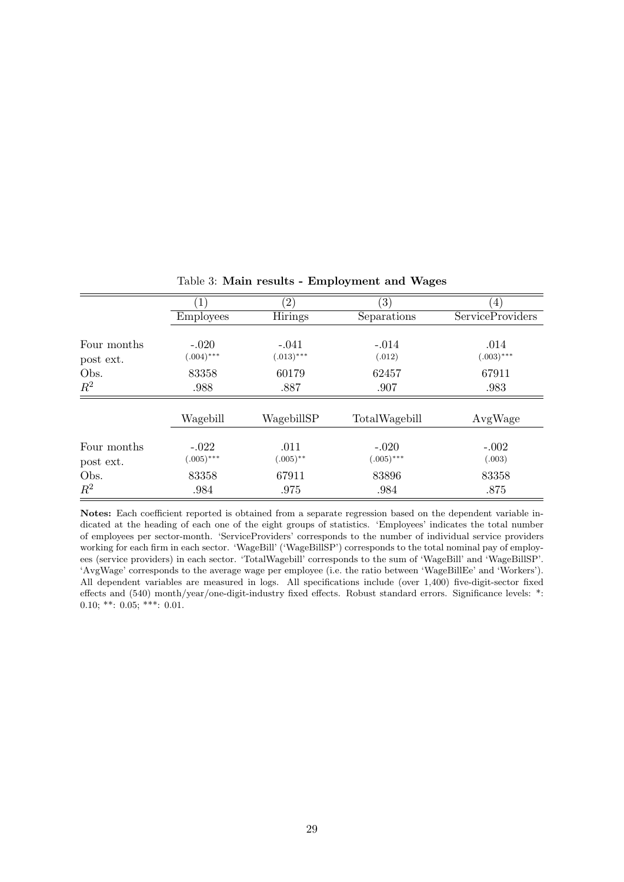<span id="page-29-0"></span>

|                          | $\left  \right $        | $\left( 2\right)$      | $\left(3\right)$        | $\left(4\right)$        |
|--------------------------|-------------------------|------------------------|-------------------------|-------------------------|
|                          | <b>Employees</b>        | Hirings                | Separations             | <b>ServiceProviders</b> |
| Four months<br>post ext. | $-.020$<br>$(.004)$ *** | $-.041$<br>$(.013)***$ | $-.014$<br>(.012)       | .014<br>$(.003)$ ***    |
| Obs.                     | 83358                   | 60179                  | 62457                   | 67911                   |
| $R^2$                    | .988                    | .887                   | .907                    | .983                    |
|                          | Wagebill                | WagebillSP             | TotalWagebill           | AvgWage                 |
| Four months<br>post ext. | $-.022$<br>$(.005)$ *** | .011<br>$(.005)$ **    | $-.020$<br>$(.005)$ *** | $-.002$<br>(.003)       |
| Obs.                     | 83358                   | 67911                  | 83896                   | 83358                   |
| $R^2$                    | .984                    | .975                   | .984                    | .875                    |

Table 3: Main results - Employment and Wages

Notes: Each coefficient reported is obtained from a separate regression based on the dependent variable indicated at the heading of each one of the eight groups of statistics. 'Employees' indicates the total number of employees per sector-month. 'ServiceProviders' corresponds to the number of individual service providers working for each firm in each sector. 'WageBill' ('WageBillSP') corresponds to the total nominal pay of employees (service providers) in each sector. 'TotalWagebill' corresponds to the sum of 'WageBill' and 'WageBillSP'. 'AvgWage' corresponds to the average wage per employee (i.e. the ratio between 'WageBillEe' and 'Workers'). All dependent variables are measured in logs. All specifications include (over 1,400) five-digit-sector fixed effects and (540) month/year/one-digit-industry fixed effects. Robust standard errors. Significance levels: \*: 0.10; \*\*:  $0.05$ ; \*\*\*:  $0.01$ .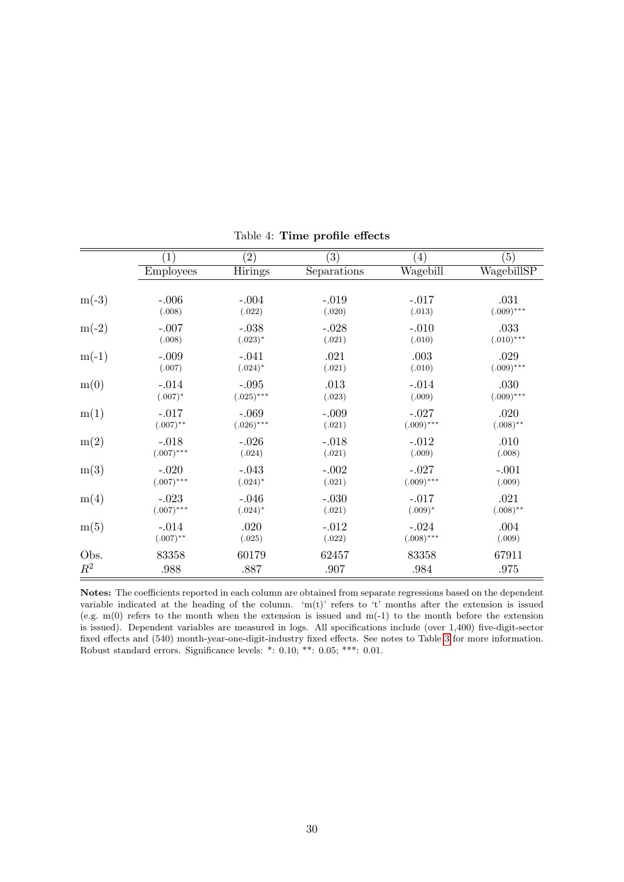<span id="page-30-0"></span>

|         | $\left(1\right)$ | $\left( 2\right)$ | (3)         | $\left(4\right)$ | (5)          |
|---------|------------------|-------------------|-------------|------------------|--------------|
|         | <b>Employees</b> | <b>Hirings</b>    | Separations | Wagebill         | WagebillSP   |
|         |                  |                   |             |                  |              |
| $m(-3)$ | $-.006$          | $-.004$           | $-.019$     | $-.017$          | .031         |
|         | (.008)           | (.022)            | (.020)      | (.013)           | $(.009)$ *** |
| $m(-2)$ | $-.007$          | $-.038$           | $-.028$     | $-.010$          | .033         |
|         | (.008)           | $(.023)*$         | (.021)      | (.010)           | $(.010)$ *** |
| $m(-1)$ | $-.009$          | $-.041$           | .021        | .003             | .029         |
|         | (.007)           | $(.024)^*$        | (.021)      | (.010)           | $(.009)$ *** |
| m(0)    | $-.014$          | $-.095$           | .013        | $-.014$          | .030         |
|         | $(.007)^*$       | $(.025)$ ***      | (.023)      | (.009)           | $(.009)$ *** |
| m(1)    | $-.017$          | $-.069$           | $-.009$     | $-.027$          | .020         |
|         | $(.007)$ **      | $(.026)$ ***      | (.021)      | $(.009)$ ***     | $(.008)$ **  |
| m(2)    | $-.018$          | $-.026$           | $-.018$     | $-.012$          | .010         |
|         | $(.007)$ ***     | (.024)            | (.021)      | (.009)           | (.008)       |
| m(3)    | $-.020$          | $-.043$           | $-.002$     | $-.027$          | $-.001$      |
|         | $(.007)$ ***     | $(.024)^*$        | (.021)      | $(.009)$ ***     | (.009)       |
| m(4)    | $-.023$          | $-.046$           | $-.030$     | $-.017$          | .021         |
|         | $(.007)$ ***     | $(.024)*$         | (.021)      | $(.009)*$        | $(.008)$ **  |
| m(5)    | $-.014$          | .020              | $-.012$     | $-.024$          | .004         |
|         | $(.007)$ **      | (.025)            | (.022)      | $(.008)$ ***     | (.009)       |
| Obs.    | 83358            | 60179             | 62457       | 83358            | 67911        |
| $R^2$   | .988             | .887              | .907        | .984             | .975         |

Table 4: Time profile effects

Notes: The coefficients reported in each column are obtained from separate regressions based on the dependent variable indicated at the heading of the column. 'm(t)' refers to 't' months after the extension is issued (e.g. m(0) refers to the month when the extension is issued and m(-1) to the month before the extension is issued). Dependent variables are measured in logs. All specifications include (over 1,400) five-digit-sector fixed effects and (540) month-year-one-digit-industry fixed effects. See notes to Table [3](#page-29-0) for more information. Robust standard errors. Significance levels: \*: 0.10; \*\*: 0.05; \*\*\*: 0.01.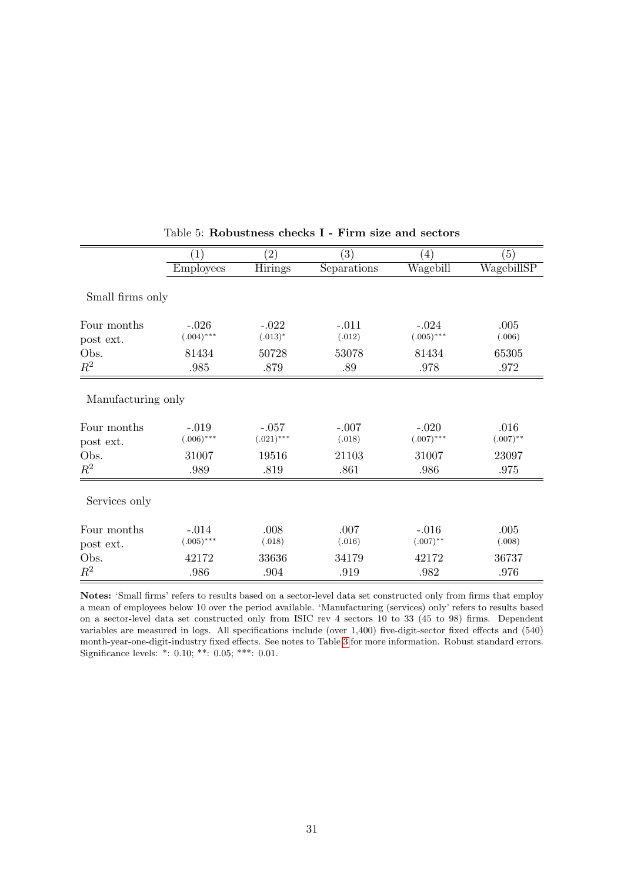<span id="page-31-0"></span>

|                    | $\left( 1\right)$ | $\left( 2\right)$ | (3)         | $\left( 4\right)$ | (5)         |
|--------------------|-------------------|-------------------|-------------|-------------------|-------------|
|                    | <b>Employees</b>  | Hirings           | Separations | Wagebill          | WagebillSP  |
| Small firms only   |                   |                   |             |                   |             |
| Four months        | $-.026$           | $-.022$           | $-.011$     | $-.024$           | .005        |
| post ext.          | $(.004)$ ***      | $(.013)^*$        | (.012)      | $(.005)$ ***      | (.006)      |
| Obs.               | 81434             | 50728             | 53078       | 81434             | 65305       |
| $\mathbb{R}^2$     | .985              | .879              | .89         | .978              | .972        |
| Manufacturing only |                   |                   |             |                   |             |
| Four months        | $-.019$           | $-.057$           | $-.007$     | $-.020$           | .016        |
| post ext.          | $(.006)$ ***      | $(.021)$ ***      | (.018)      | $(.007)$ ***      | $(.007)$ ** |
| Obs.               | 31007             | 19516             | 21103       | 31007             | 23097       |
| $\mathbb{R}^2$     | .989              | .819              | .861        | .986              | .975        |
| Services only      |                   |                   |             |                   |             |
| Four months        | $-.014$           | .008              | .007        | $-.016$           | .005        |
| post ext.          | $(.005)$ ***      | (.018)            | (.016)      | $(.007)$ **       | (.008)      |
| Obs.               | 42172             | 33636             | 34179       | 42172             | 36737       |
| $R^2$              | .986              | .904              | .919        | .982              | .976        |

Table 5: Robustness checks I - Firm size and sectors

Notes: 'Small firms' refers to results based on a sector-level data set constructed only from firms that employ a mean of employees below 10 over the period available. 'Manufacturing (services) only' refers to results based on a sector-level data set constructed only from ISIC rev 4 sectors 10 to 33 (45 to 98) firms. Dependent variables are measured in logs. All specifications include (over 1,400) five-digit-sector fixed effects and (540) month-year-one-digit-industry fixed effects. See notes to Table [3](#page-29-0) for more information. Robust standard errors. Significance levels: \*: 0.10; \*\*: 0.05; \*\*\*: 0.01.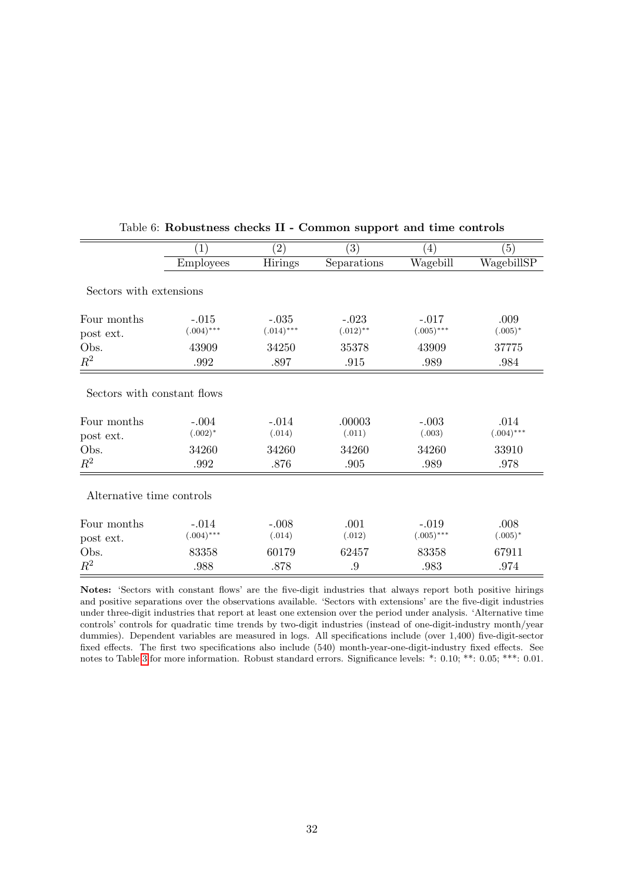|                                                                 | $\left( 1\right)$              | $\left( 2\right)$          | $\left( 3\right)$         | $\left( 4\right)$          | (5)                           |
|-----------------------------------------------------------------|--------------------------------|----------------------------|---------------------------|----------------------------|-------------------------------|
|                                                                 | <b>Employees</b>               | Hirings                    | Separations               | Wagebill                   | WagebillSP                    |
| Sectors with extensions                                         |                                |                            |                           |                            |                               |
| Four months<br>post ext.                                        | $-.015$<br>$(.004)$ ***        | $-.035$<br>$(.014)$ ***    | $-.023$<br>$(.012)$ **    | $-.017$<br>$(.005)$ ***    | .009<br>$(.005)^*$            |
| Obs.                                                            | 43909                          | 34250                      | 35378                     | 43909                      | 37775                         |
| $\mathbb{R}^2$                                                  | .992                           | .897                       | .915                      | .989                       | .984                          |
| Sectors with constant flows<br>Four months<br>post ext.<br>Obs. | $-.004$<br>$(.002)^*$<br>34260 | $-.014$<br>(.014)<br>34260 | .00003<br>(.011)<br>34260 | $-.003$<br>(.003)<br>34260 | .014<br>$(.004)$ ***<br>33910 |
| $\mathbb{R}^2$                                                  | .992                           | .876                       | .905                      | .989                       | .978                          |
| Alternative time controls                                       |                                |                            |                           |                            |                               |
| Four months<br>post ext.                                        | $-.014$<br>$(.004)$ ***        | $-.008$<br>(.014)          | .001<br>(.012)            | $-.019$<br>$(.005)$ ***    | .008<br>$(.005)^*$            |
| Obs.                                                            | 83358                          | 60179                      | 62457                     | 83358                      | 67911                         |
| $R^2$                                                           | .988                           | .878                       | .9                        | .983                       | .974                          |
|                                                                 |                                |                            |                           |                            |                               |

<span id="page-32-0"></span>

| Table 6: Robustness checks II - Common support and time controls |
|------------------------------------------------------------------|
|------------------------------------------------------------------|

Notes: 'Sectors with constant flows' are the five-digit industries that always report both positive hirings and positive separations over the observations available. 'Sectors with extensions' are the five-digit industries under three-digit industries that report at least one extension over the period under analysis. 'Alternative time controls' controls for quadratic time trends by two-digit industries (instead of one-digit-industry month/year dummies). Dependent variables are measured in logs. All specifications include (over 1,400) five-digit-sector fixed effects. The first two specifications also include (540) month-year-one-digit-industry fixed effects. See notes to Table [3](#page-29-0) for more information. Robust standard errors. Significance levels: \*: 0.10; \*\*: 0.05; \*\*\*: 0.01.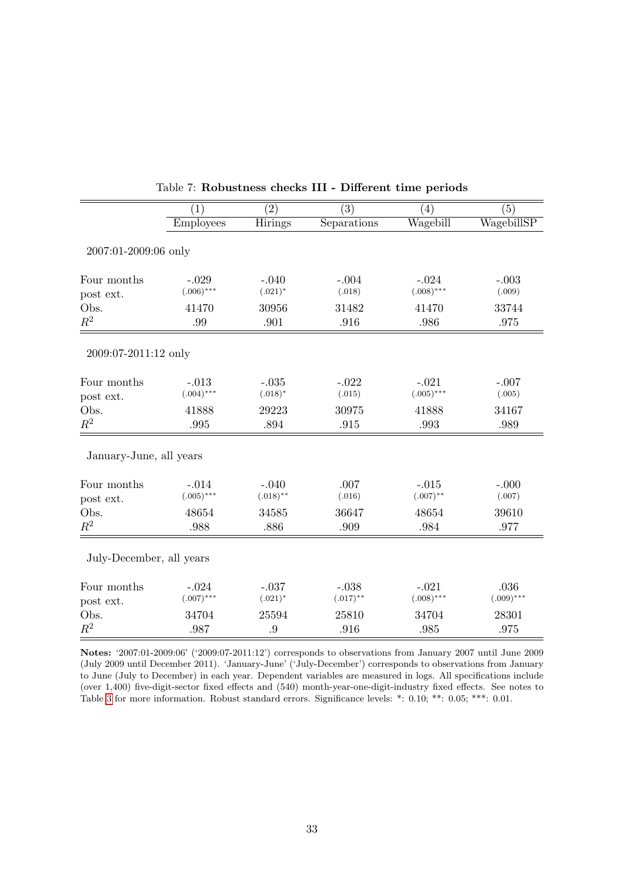<span id="page-33-0"></span>

|                          | (1)              | (2)         | (3)         | (4)          | (5)          |
|--------------------------|------------------|-------------|-------------|--------------|--------------|
|                          | <b>Employees</b> | Hirings     | Separations | Wagebill     | WagebillSP   |
|                          |                  |             |             |              |              |
| 2007:01-2009:06 only     |                  |             |             |              |              |
| Four months              | $-.029$          | $-.040$     | $-.004$     | $-.024$      | $-.003$      |
| post ext.                | $(.006)$ ***     | $(.021)^*$  | (.018)      | $(.008)$ *** | (.009)       |
| Obs.                     | 41470            | 30956       | 31482       | 41470        | 33744        |
| $\mathbb{R}^2$           | .99              | .901        | .916        | .986         | .975         |
|                          |                  |             |             |              |              |
| 2009:07-2011:12 only     |                  |             |             |              |              |
| Four months              | $-.013$          | $-.035$     | $-.022$     | $-.021$      | $-.007$      |
| post ext.                | $(.004)$ ***     | $(.018)^*$  | (.015)      | $(.005)$ *** | (.005)       |
| Obs.                     | 41888            | 29223       | 30975       | 41888        | 34167        |
| $R^2$                    | .995             | .894        | .915        | .993         | .989         |
| January-June, all years  |                  |             |             |              |              |
| Four months              | $-.014$          | $-.040$     | .007        | $-.015$      | $-.000$      |
| post ext.                | $(.005)$ ***     | $(.018)$ ** | (.016)      | $(.007)$ **  | (.007)       |
| Obs.                     | 48654            | 34585       | 36647       | 48654        | 39610        |
| $\mathbb{R}^2$           | .988             | .886        | .909        | .984         | .977         |
| July-December, all years |                  |             |             |              |              |
| Four months              | $-.024$          | $-.037$     | $-.038$     | $-.021$      | .036         |
| post ext.                | $(.007)$ ***     | $(.021)^*$  | $(.017)$ ** | $(.008)$ *** | $(.009)$ *** |
| Obs.                     | 34704            | 25594       | 25810       | 34704        | 28301        |
| $\mathbb{R}^2$           | .987             | .9          | .916        | .985         | .975         |

| Table 7: Robustness checks III - Different time periods |  |  |  |  |  |
|---------------------------------------------------------|--|--|--|--|--|
|---------------------------------------------------------|--|--|--|--|--|

Notes: '2007:01-2009:06' ('2009:07-2011:12') corresponds to observations from January 2007 until June 2009 (July 2009 until December 2011). 'January-June' ('July-December') corresponds to observations from January to June (July to December) in each year. Dependent variables are measured in logs. All specifications include (over 1,400) five-digit-sector fixed effects and (540) month-year-one-digit-industry fixed effects. See notes to Table [3](#page-29-0) for more information. Robust standard errors. Significance levels: \*: 0.10; \*\*: 0.05; \*\*\*: 0.01.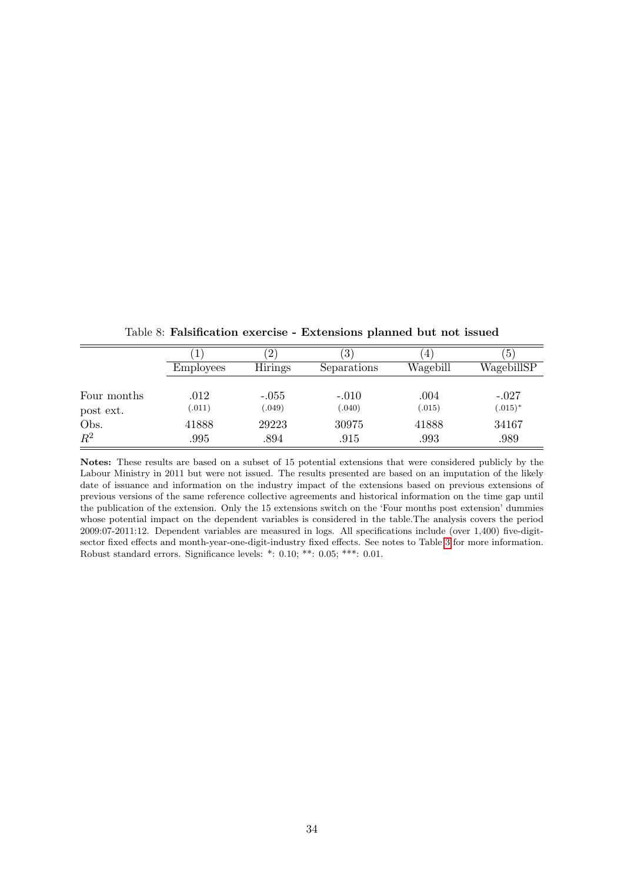|                | $\pm$            | $^{\prime}2$   | $\left(3\right)$ | $\overline{4}$ | 5          |
|----------------|------------------|----------------|------------------|----------------|------------|
|                | <b>Employees</b> | <b>Hirings</b> | Separations      | Wagebill       | WagebillSP |
| Four months    | .012             | $-.055$        | $-.010$          | .004           | $-.027$    |
| post ext.      | (.011)           | (.049)         | (.040)           | (.015)         | $(.015)^*$ |
| Obs.           | 41888            | 29223          | 30975            | 41888          | 34167      |
| $\mathbb{R}^2$ | .995             | .894           | .915             | .993           | .989       |

<span id="page-34-0"></span>Table 8: Falsification exercise - Extensions planned but not issued

Notes: These results are based on a subset of 15 potential extensions that were considered publicly by the Labour Ministry in 2011 but were not issued. The results presented are based on an imputation of the likely date of issuance and information on the industry impact of the extensions based on previous extensions of previous versions of the same reference collective agreements and historical information on the time gap until the publication of the extension. Only the 15 extensions switch on the 'Four months post extension' dummies whose potential impact on the dependent variables is considered in the table.The analysis covers the period 2009:07-2011:12. Dependent variables are measured in logs. All specifications include (over 1,400) five-digitsector fixed effects and month-year-one-digit-industry fixed effects. See notes to Table [3](#page-29-0) for more information. Robust standard errors. Significance levels: \*: 0.10; \*\*: 0.05; \*\*\*: 0.01.